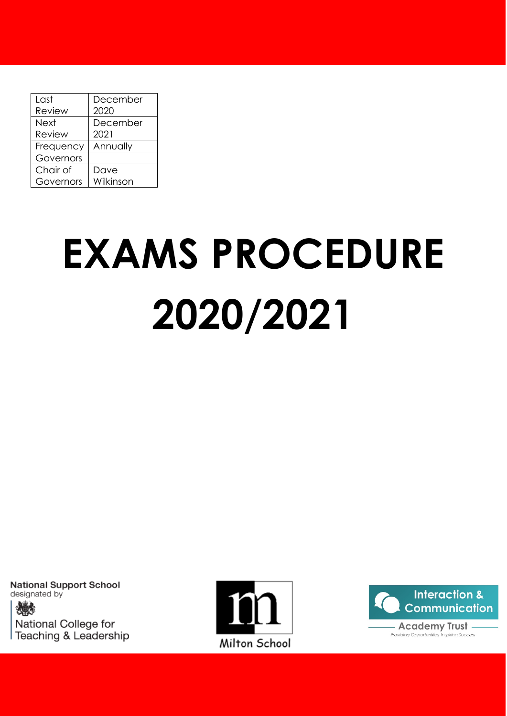| Last      | December  |
|-----------|-----------|
| Review    | 2020      |
| Next      | December  |
| Review    | 2021      |
| Frequency | Annually  |
| Governors |           |
| Chair of  | Dave      |
| Governors | Wilkinson |

# **EXAMS PROCEDURE 2020/2021**

**National Support School** designated by National College for Feaching & Leadership



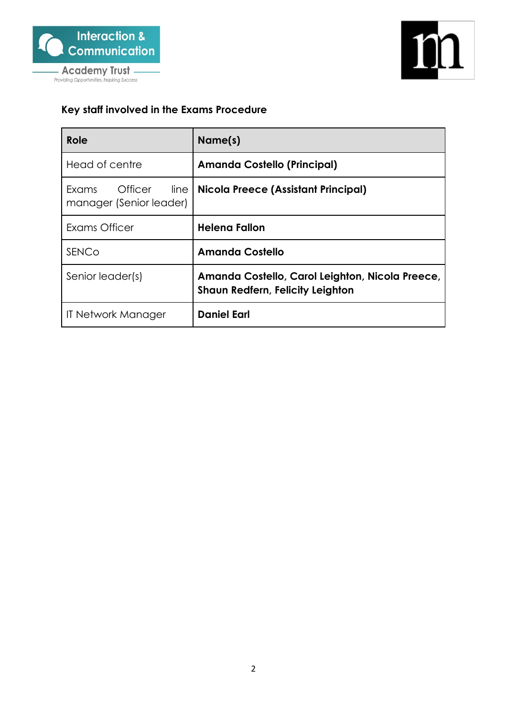

I

# **Key staff involved in the Exams Procedure**

| Role                                                       | Name(s)                                                                                    |
|------------------------------------------------------------|--------------------------------------------------------------------------------------------|
| Head of centre                                             | <b>Amanda Costello (Principal)</b>                                                         |
| Exams<br><b>Officer</b><br>line<br>manager (Senior leader) | <b>Nicola Preece (Assistant Principal)</b>                                                 |
| Exams Officer                                              | <b>Helena Fallon</b>                                                                       |
| <b>SENCO</b>                                               | <b>Amanda Costello</b>                                                                     |
| Senior leader(s)                                           | Amanda Costello, Carol Leighton, Nicola Preece,<br><b>Shaun Redfern, Felicity Leighton</b> |
| <b>IT Network Manager</b>                                  | <b>Daniel Earl</b>                                                                         |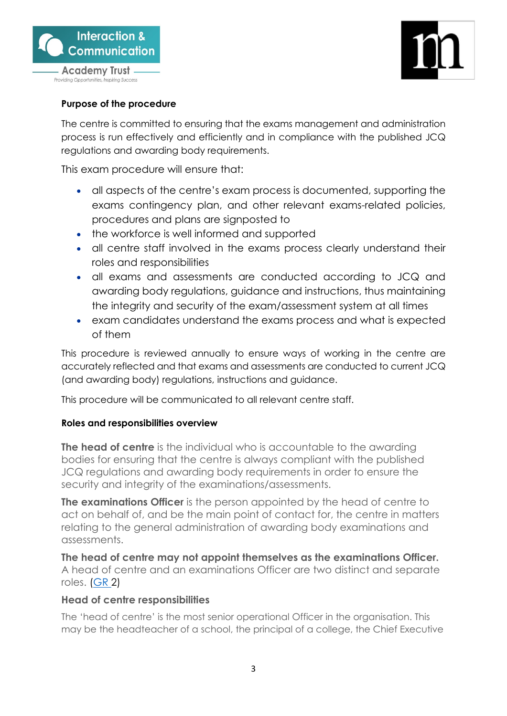

Providing Opportunities, Inspiring Success



# **Purpose of the procedure**

The centre is committed to ensuring that the exams management and administration process is run effectively and efficiently and in compliance with the published JCQ regulations and awarding body requirements.

This exam procedure will ensure that:

- all aspects of the centre's exam process is documented, supporting the exams contingency plan, and other relevant exams-related policies, procedures and plans are signposted to
- the workforce is well informed and supported
- all centre staff involved in the exams process clearly understand their roles and responsibilities
- all exams and assessments are conducted according to JCQ and awarding body regulations, guidance and instructions, thus maintaining the integrity and security of the exam/assessment system at all times
- exam candidates understand the exams process and what is expected of them

This procedure is reviewed annually to ensure ways of working in the centre are accurately reflected and that exams and assessments are conducted to current JCQ (and awarding body) regulations, instructions and guidance.

This procedure will be communicated to all relevant centre staff.

### **Roles and responsibilities overview**

**The head of centre** is the individual who is accountable to the awarding bodies for ensuring that the centre is always compliant with the published JCQ regulations and awarding body requirements in order to ensure the security and integrity of the examinations/assessments.

**The examinations Officer** is the person appointed by the head of centre to act on behalf of, and be the main point of contact for, the centre in matters relating to the general administration of awarding body examinations and assessments.

**The head of centre may not appoint themselves as the examinations Officer.**  A head of centre and an examinations Officer are two distinct and separate roles. [\(GR](http://www.jcq.org.uk/exams-office/general-regulations) 2)

### **Head of centre responsibilities**

The 'head of centre' is the most senior operational Officer in the organisation. This may be the headteacher of a school, the principal of a college, the Chief Executive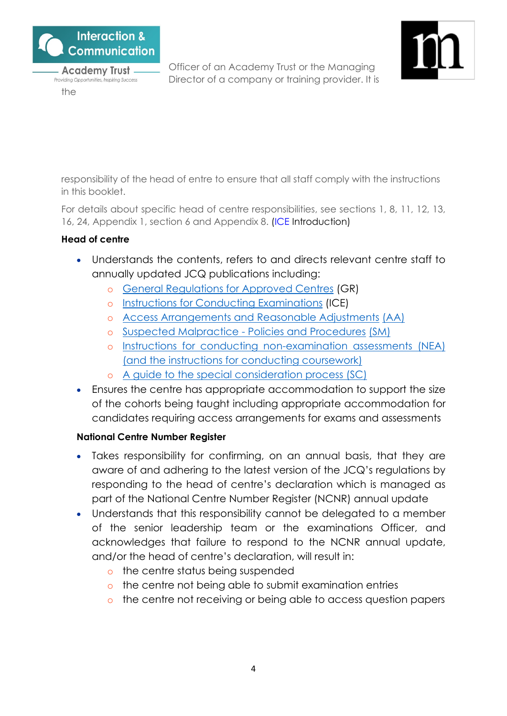

the

Officer of an Academy Trust or the Managing Director of a company or training provider. It is



responsibility of the head of entre to ensure that all staff comply with the instructions in this booklet.

For details about specific head of centre responsibilities, see sections 1, 8, 11, 12, 13, 16, 24, Appendix 1, section 6 and Appendix 8. [\(ICE](http://www.jcq.org.uk/exams-office/ice---instructions-for-conducting-examinations) Introduction)

# **Head of centre**

- Understands the contents, refers to and directs relevant centre staff to annually updated JCQ publications including:
	- o [General Regulations for Approved Centres](http://www.jcq.org.uk/exams-office/general-regulations) (GR)
	- o [Instructions for Conducting Examinations](http://www.jcq.org.uk/exams-office/ice---instructions-for-conducting-examinations) (ICE)
	- o [Access Arrangements and Reasonable Adjustments](http://www.jcq.org.uk/exams-office/access-arrangements-and-special-consideration/regulations-and-guidance) (AA)
	- o [Suspected Malpractice -](http://www.jcq.org.uk/exams-office/malpractice) Policies and Procedures (SM)
	- o [Instructions for conducting non-examination assessments](http://www.jcq.org.uk/exams-office/non-examination-assessments) (NEA) (and the instructions for conducting coursework)
	- o [A guide to the special consideration process](http://www.jcq.org.uk/exams-office/access-arrangements-and-special-consideration/regulations-and-guidance) (SC)
- Ensures the centre has appropriate accommodation to support the size of the cohorts being taught including appropriate accommodation for candidates requiring access arrangements for exams and assessments

# **National Centre Number Register**

- Takes responsibility for confirming, on an annual basis, that they are aware of and adhering to the latest version of the JCQ's regulations by responding to the head of centre's declaration which is managed as part of the National Centre Number Register (NCNR) annual update
- Understands that this responsibility cannot be delegated to a member of the senior leadership team or the examinations Officer, and acknowledges that failure to respond to the NCNR annual update, and/or the head of centre's declaration, will result in:
	- o the centre status being suspended
	- o the centre not being able to submit examination entries
	- o the centre not receiving or being able to access question papers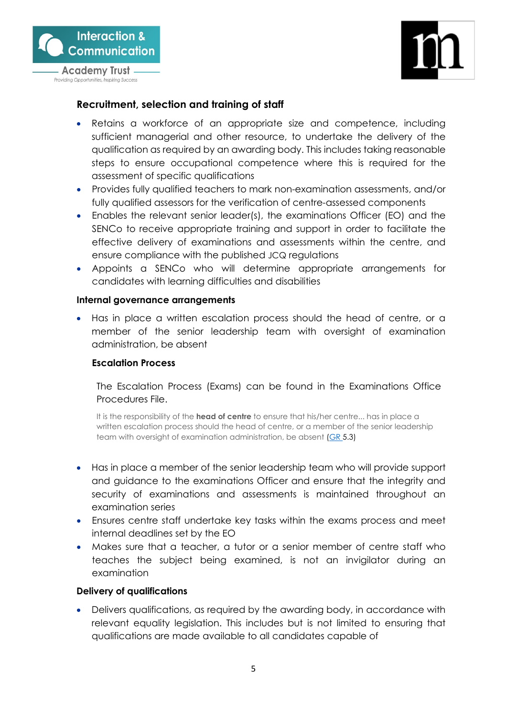



# **Recruitment, selection and training of staff**

- Retains a workforce of an appropriate size and competence, including sufficient managerial and other resource, to undertake the delivery of the qualification as required by an awarding body. This includes taking reasonable steps to ensure occupational competence where this is required for the assessment of specific qualifications
- Provides fully qualified teachers to mark non-examination assessments, and/or fully qualified assessors for the verification of centre-assessed components
- Enables the relevant senior leader(s), the examinations Officer (EO) and the SENCo to receive appropriate training and support in order to facilitate the effective delivery of examinations and assessments within the centre, and ensure compliance with the published JCQ regulations
- Appoints a SENCo who will determine appropriate arrangements for candidates with learning difficulties and disabilities

### **Internal governance arrangements**

• Has in place a written escalation process should the head of centre, or a member of the senior leadership team with oversight of examination administration, be absent

### **Escalation Process**

The Escalation Process (Exams) can be found in the Examinations Office Procedures File.

It is the responsibility of the **head of centre** to ensure that his/her centre... has in place a written escalation process should the head of centre, or a member of the senior leadership team with oversight of examination administration, be absent [\(GR](http://www.jcq.org.uk/exams-office/general-regulations) 5.3)

- Has in place a member of the senior leadership team who will provide support and guidance to the examinations Officer and ensure that the integrity and security of examinations and assessments is maintained throughout an examination series
- Ensures centre staff undertake key tasks within the exams process and meet internal deadlines set by the EO
- Makes sure that a teacher, a tutor or a senior member of centre staff who teaches the subject being examined, is not an invigilator during an examination

### **Delivery of qualifications**

• Delivers qualifications, as required by the awarding body, in accordance with relevant equality legislation. This includes but is not limited to ensuring that qualifications are made available to all candidates capable of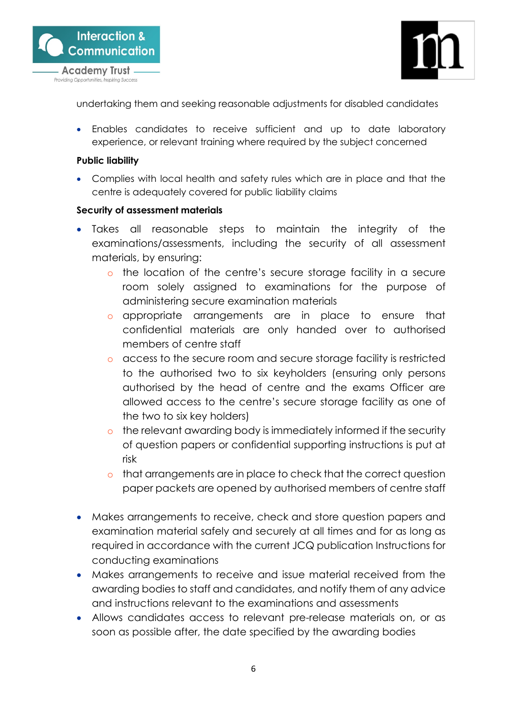

Providing Opportunities, Inspiring Success

undertaking them and seeking reasonable adjustments for disabled candidates

• Enables candidates to receive sufficient and up to date laboratory experience, or relevant training where required by the subject concerned

### **Public liability**

• Complies with local health and safety rules which are in place and that the centre is adequately covered for public liability claims

### **Security of assessment materials**

- Takes all reasonable steps to maintain the integrity of the examinations/assessments, including the security of all assessment materials, by ensuring:
	- o the location of the centre's secure storage facility in a secure room solely assigned to examinations for the purpose of administering secure examination materials
	- o appropriate arrangements are in place to ensure that confidential materials are only handed over to authorised members of centre staff
	- o access to the secure room and secure storage facility is restricted to the authorised two to six keyholders (ensuring only persons authorised by the head of centre and the exams Officer are allowed access to the centre's secure storage facility as one of the two to six key holders)
	- o the relevant awarding body is immediately informed if the security of question papers or confidential supporting instructions is put at risk
	- o that arrangements are in place to check that the correct question paper packets are opened by authorised members of centre staff
- Makes arrangements to receive, check and store question papers and examination material safely and securely at all times and for as long as required in accordance with the current JCQ publication Instructions for conducting examinations
- Makes arrangements to receive and issue material received from the awarding bodies to staff and candidates, and notify them of any advice and instructions relevant to the examinations and assessments
- Allows candidates access to relevant pre-release materials on, or as soon as possible after, the date specified by the awarding bodies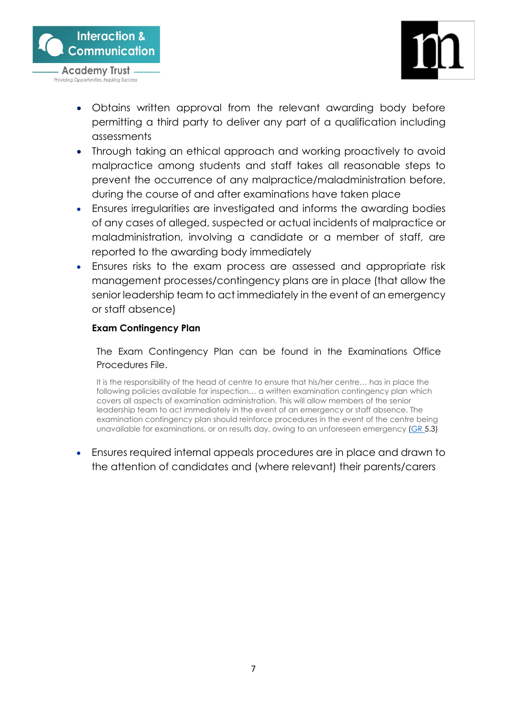

Providing Opportunities, Inspiring Success



- Obtains written approval from the relevant awarding body before permitting a third party to deliver any part of a qualification including assessments
- Through taking an ethical approach and working proactively to avoid malpractice among students and staff takes all reasonable steps to prevent the occurrence of any malpractice/maladministration before, during the course of and after examinations have taken place
- Ensures irregularities are investigated and informs the awarding bodies of any cases of alleged, suspected or actual incidents of malpractice or maladministration, involving a candidate or a member of staff, are reported to the awarding body immediately
- Ensures risks to the exam process are assessed and appropriate risk management processes/contingency plans are in place (that allow the senior leadership team to act immediately in the event of an emergency or staff absence)

# **Exam Contingency Plan**

The Exam Contingency Plan can be found in the Examinations Office Procedures File.

It is the responsibility of the head of centre to ensure that his/her centre… has in place the following policies available for inspection… a written examination contingency plan which covers all aspects of examination administration. This will allow members of the senior leadership team to act immediately in the event of an emergency or staff absence. The examination contingency plan should reinforce procedures in the event of the centre being unavailable for examinations, or on results day, owing to an unforeseen emergency [\(GR](http://www.jcq.org.uk/exams-office/general-regulations) 5.3)

• Ensures required internal appeals procedures are in place and drawn to the attention of candidates and (where relevant) their parents/carers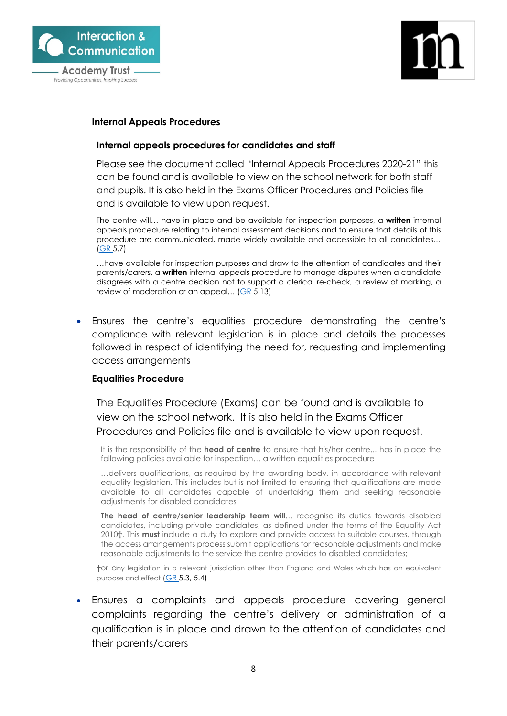

### **Internal Appeals Procedures**

### **Internal appeals procedures for candidates and staff**

Please see the document called "Internal Appeals Procedures 2020-21" this can be found and is available to view on the school network for both staff and pupils. It is also held in the Exams Officer Procedures and Policies file and is available to view upon request.

The centre will… have in place and be available for inspection purposes, a **written** internal appeals procedure relating to internal assessment decisions and to ensure that details of this procedure are communicated, made widely available and accessible to all candidates… [\(GR](http://www.jcq.org.uk/exams-office/general-regulations) 5.7)

…have available for inspection purposes and draw to the attention of candidates and their parents/carers, a **written** internal appeals procedure to manage disputes when a candidate disagrees with a centre decision not to support a clerical re-check, a review of marking, a review of moderation or an appeal... [\(GR](http://www.jcq.org.uk/exams-office/general-regulations) 5.13)

• Ensures the centre's equalities procedure demonstrating the centre's compliance with relevant legislation is in place and details the processes followed in respect of identifying the need for, requesting and implementing access arrangements

### **Equalities Procedure**

The Equalities Procedure (Exams) can be found and is available to view on the school network. It is also held in the Exams Officer Procedures and Policies file and is available to view upon request.

It is the responsibility of the **head of centre** to ensure that his/her centre... has in place the following policies available for inspection… a written equalities procedure

…delivers qualifications, as required by the awarding body, in accordance with relevant equality legislation. This includes but is not limited to ensuring that qualifications are made available to all candidates capable of undertaking them and seeking reasonable adjustments for disabled candidates

**The head of centre/senior leadership team will**… recognise its duties towards disabled candidates, including private candidates, as defined under the terms of the Equality Act 2010**†**. This **must** include a duty to explore and provide access to suitable courses, through the access arrangements process submit applications for reasonable adjustments and make reasonable adjustments to the service the centre provides to disabled candidates;

**†**or any legislation in a relevant jurisdiction other than England and Wales which has an equivalent purpose and effect [\(GR](http://www.jcq.org.uk/exams-office/general-regulations) 5.3, 5.4)

• Ensures a complaints and appeals procedure covering general complaints regarding the centre's delivery or administration of a qualification is in place and drawn to the attention of candidates and their parents/carers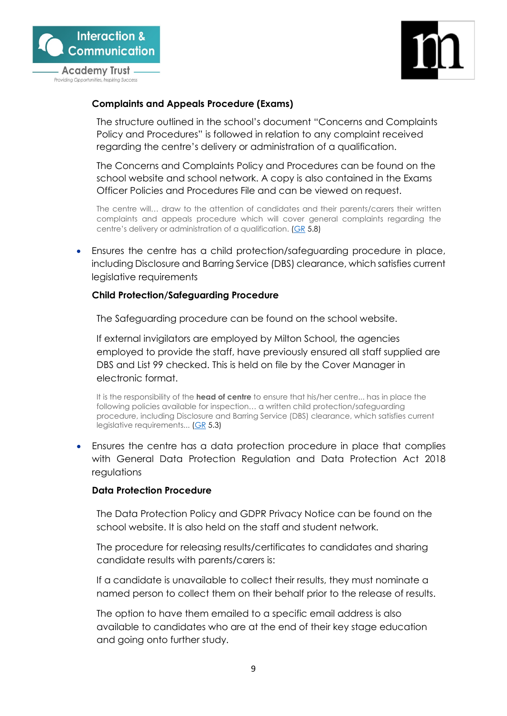



# **Complaints and Appeals Procedure (Exams)**

The structure outlined in the school's document "Concerns and Complaints Policy and Procedures" is followed in relation to any complaint received regarding the centre's delivery or administration of a qualification.

The Concerns and Complaints Policy and Procedures can be found on the school website and school network. A copy is also contained in the Exams Officer Policies and Procedures File and can be viewed on request.

The centre will… draw to the attention of candidates and their parents/carers their written complaints and appeals procedure which will cover general complaints regarding the centre's delivery or administration of a qualification. [\(GR](http://www.jcq.org.uk/exams-office/general-regulations) 5.8)

• Ensures the centre has a child protection/safeguarding procedure in place, including Disclosure and Barring Service (DBS) clearance, which satisfies current legislative requirements

### **Child Protection/Safeguarding Procedure**

The Safeguarding procedure can be found on the school website.

If external invigilators are employed by Milton School, the agencies employed to provide the staff, have previously ensured all staff supplied are DBS and List 99 checked. This is held on file by the Cover Manager in electronic format.

It is the responsibility of the **head of centre** to ensure that his/her centre... has in place the following policies available for inspection… a written child protection/safeguarding procedure, including Disclosure and Barring Service (DBS) clearance, which satisfies current legislative requirements... [\(GR](http://www.jcq.org.uk/exams-office/general-regulations) 5.3)

• Ensures the centre has a data protection procedure in place that complies with General Data Protection Regulation and Data Protection Act 2018 regulations

### **Data Protection Procedure**

The Data Protection Policy and GDPR Privacy Notice can be found on the school website. It is also held on the staff and student network.

The procedure for releasing results/certificates to candidates and sharing candidate results with parents/carers is:

If a candidate is unavailable to collect their results, they must nominate a named person to collect them on their behalf prior to the release of results.

The option to have them emailed to a specific email address is also available to candidates who are at the end of their key stage education and going onto further study.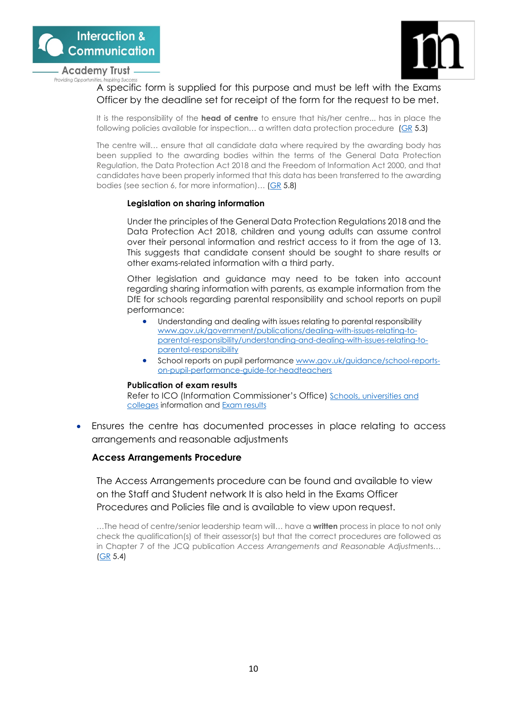



### A specific form is supplied for this purpose and must be left with the Exams Officer by the deadline set for receipt of the form for the request to be met.

It is the responsibility of the **head of centre** to ensure that his/her centre... has in place the following policies available for inspection… a written data protection procedure [\(GR](http://www.jcq.org.uk/exams-office/general-regulations) 5.3)

The centre will… ensure that all candidate data where required by the awarding body has been supplied to the awarding bodies within the terms of the General Data Protection Regulation, the Data Protection Act 2018 and the Freedom of Information Act 2000, and that candidates have been properly informed that this data has been transferred to the awarding bodies (see section 6, for more information)… [\(GR](http://www.jcq.org.uk/exams-office/general-regulations) 5.8)

### **Legislation on sharing information**

Under the principles of the General Data Protection Regulations 2018 and the Data Protection Act 2018, children and young adults can assume control over their personal information and restrict access to it from the age of 13. This suggests that candidate consent should be sought to share results or other exams-related information with a third party.

Other legislation and guidance may need to be taken into account regarding sharing information with parents, as example information from the DfE for schools regarding parental responsibility and school reports on pupil performance:

- Understanding and dealing with issues relating to parental responsibility [www.gov.uk/government/publications/dealing-with-issues-relating-to](https://www.gov.uk/government/publications/dealing-with-issues-relating-to-parental-responsibility/understanding-and-dealing-with-issues-relating-to-parental-responsibility)[parental-responsibility/understanding-and-dealing-with-issues-relating-to](https://www.gov.uk/government/publications/dealing-with-issues-relating-to-parental-responsibility/understanding-and-dealing-with-issues-relating-to-parental-responsibility)[parental-responsibility](https://www.gov.uk/government/publications/dealing-with-issues-relating-to-parental-responsibility/understanding-and-dealing-with-issues-relating-to-parental-responsibility)
- School reports on pupil performanc[e www.gov.uk/guidance/school-reports](https://www.gov.uk/guidance/school-reports-on-pupil-performance-guide-for-headteachers)[on-pupil-performance-guide-for-headteachers](https://www.gov.uk/guidance/school-reports-on-pupil-performance-guide-for-headteachers)

### **Publication of exam results**

Refer to ICO (Information Commissioner's Office) Schools, universities and [colleges](https://ico.org.uk/your-data-matters/schools/) information and [Exam results](https://ico.org.uk/your-data-matters/schools/exam-results/)

• Ensures the centre has documented processes in place relating to access arrangements and reasonable adjustments

### **Access Arrangements Procedure**

The Access Arrangements procedure can be found and available to view on the Staff and Student network It is also held in the Exams Officer Procedures and Policies file and is available to view upon request.

…The head of centre/senior leadership team will… have a **written** process in place to not only check the qualification(s) of their assessor(s) but that the correct procedures are followed as in Chapter 7 of the JCQ publication *Access Arrangements and Reasonable Adjust*ments… [\(GR](http://www.jcq.org.uk/exams-office/general-regulations) 5.4)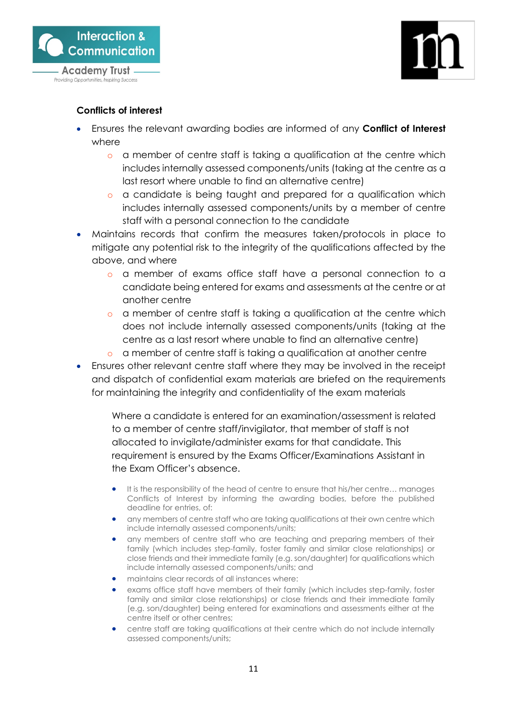

# **Conflicts of interest**

- Ensures the relevant awarding bodies are informed of any **Conflict of Interest** where
	- o a member of centre staff is taking a qualification at the centre which includes internally assessed components/units (taking at the centre as a last resort where unable to find an alternative centre)
	- o a candidate is being taught and prepared for a qualification which includes internally assessed components/units by a member of centre staff with a personal connection to the candidate
- Maintains records that confirm the measures taken/protocols in place to mitigate any potential risk to the integrity of the qualifications affected by the above, and where
	- o a member of exams office staff have a personal connection to a candidate being entered for exams and assessments at the centre or at another centre
	- o a member of centre staff is taking a qualification at the centre which does not include internally assessed components/units (taking at the centre as a last resort where unable to find an alternative centre)
	- o a member of centre staff is taking a qualification at another centre
- Ensures other relevant centre staff where they may be involved in the receipt and dispatch of confidential exam materials are briefed on the requirements for maintaining the integrity and confidentiality of the exam materials

Where a candidate is entered for an examination/assessment is related to a member of centre staff/invigilator, that member of staff is not allocated to invigilate/administer exams for that candidate. This requirement is ensured by the Exams Officer/Examinations Assistant in the Exam Officer's absence.

- It is the responsibility of the head of centre to ensure that his/her centre... manages Conflicts of Interest by informing the awarding bodies, before the published deadline for entries, of:
- any members of centre staff who are taking qualifications at their own centre which include internally assessed components/units;
- any members of centre staff who are teaching and preparing members of their family (which includes step-family, foster family and similar close relationships) or close friends and their immediate family (e.g. son/daughter) for qualifications which include internally assessed components/units; and
- maintains clear records of all instances where:
- exams office staff have members of their family (which includes step-family, foster family and similar close relationships) or close friends and their immediate family (e.g. son/daughter) being entered for examinations and assessments either at the centre itself or other centres;
- centre staff are taking qualifications at their centre which do not include internally assessed components/units;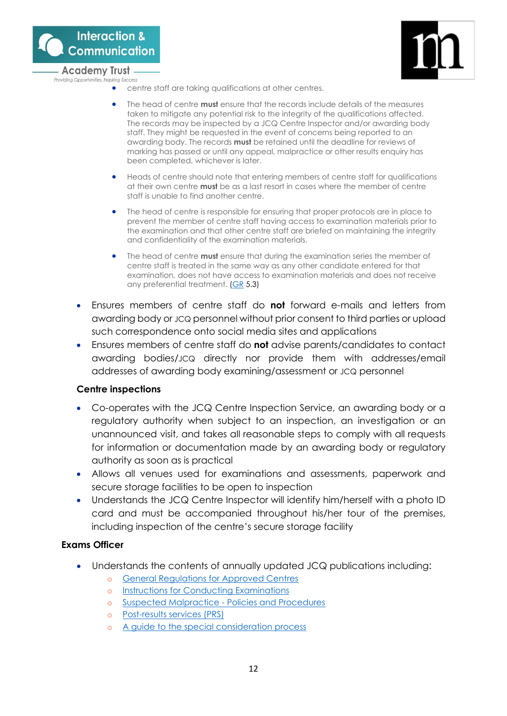



- **Academy Trust** Providing Opportunities, Inspiring Success
	- centre staff are taking qualifications at other centres.
	- The head of centre **must** ensure that the records include details of the measures taken to mitigate any potential risk to the integrity of the qualifications affected. The records may be inspected by a JCQ Centre Inspector and/or awarding body staff. They might be requested in the event of concerns being reported to an awarding body. The records **must** be retained until the deadline for reviews of marking has passed or until any appeal, malpractice or other results enquiry has been completed, whichever is later.
	- Heads of centre should note that entering members of centre staff for qualifications at their own centre **must** be as a last resort in cases where the member of centre staff is unable to find another centre.
	- The head of centre is responsible for ensuring that proper protocols are in place to prevent the member of centre staff having access to examination materials prior to the examination and that other centre staff are briefed on maintaining the integrity and confidentiality of the examination materials.
	- The head of centre **must** ensure that during the examination series the member of centre staff is treated in the same way as any other candidate entered for that examination, does not have access to examination materials and does not receive any preferential treatment. [\(GR](http://www.jcq.org.uk/exams-office/general-regulations) 5.3)
	- Ensures members of centre staff do **not** forward e-mails and letters from awarding body or JCQ personnel without prior consent to third parties or upload such correspondence onto social media sites and applications
	- Ensures members of centre staff do **not** advise parents/candidates to contact awarding bodies/JCQ directly nor provide them with addresses/email addresses of awarding body examining/assessment or JCQ personnel

### **Centre inspections**

- Co-operates with the JCQ Centre Inspection Service, an awarding body or a regulatory authority when subject to an inspection, an investigation or an unannounced visit, and takes all reasonable steps to comply with all requests for information or documentation made by an awarding body or regulatory authority as soon as is practical
- Allows all venues used for examinations and assessments, paperwork and secure storage facilities to be open to inspection
- Understands the JCQ Centre Inspector will identify him/herself with a photo ID card and must be accompanied throughout his/her tour of the premises, including inspection of the centre's secure storage facility

### **Exams Officer**

- Understands the contents of annually updated JCQ publications including:
	- o [General Regulations for Approved Centres](http://www.jcq.org.uk/exams-office/general-regulations)
	- o [Instructions for Conducting Examinations](http://www.jcq.org.uk/exams-office/ice---instructions-for-conducting-examinations)
	- o [Suspected Malpractice -](http://www.jcq.org.uk/exams-office/malpractice) Policies and Procedures
	- o [Post-results services](http://www.jcq.org.uk/exams-office/post-results-services) (PRS)
	- [A guide to the special consideration process](https://www.jcq.org.uk/exams-office/access-arrangements-and-special-consideration/regulations-and-guidance/)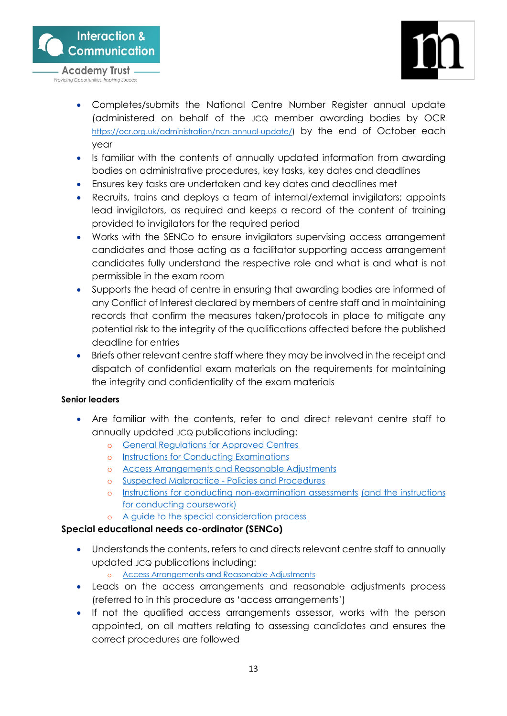



- Completes/submits the National Centre Number Register annual update (administered on behalf of the JCQ member awarding bodies by OCR [https://ocr.org.uk/administration/ncn-annual-update/\)](https://ocr.org.uk/administration/ncn-annual-update/) by the end of October each year
- Is familiar with the contents of annually updated information from awarding bodies on administrative procedures, key tasks, key dates and deadlines
- Ensures key tasks are undertaken and key dates and deadlines met
- Recruits, trains and deploys a team of internal/external invigilators; appoints lead invigilators, as required and keeps a record of the content of training provided to invigilators for the required period
- Works with the SENCo to ensure invigilators supervising access arrangement candidates and those acting as a facilitator supporting access arrangement candidates fully understand the respective role and what is and what is not permissible in the exam room
- Supports the head of centre in ensuring that awarding bodies are informed of any Conflict of Interest declared by members of centre staff and in maintaining records that confirm the measures taken/protocols in place to mitigate any potential risk to the integrity of the qualifications affected before the published deadline for entries
- Briefs other relevant centre staff where they may be involved in the receipt and dispatch of confidential exam materials on the requirements for maintaining the integrity and confidentiality of the exam materials

### **Senior leaders**

- Are familiar with the contents, refer to and direct relevant centre staff to annually updated JCQ publications including:
	- o [General Regulations for Approved Centres](http://www.jcq.org.uk/exams-office/general-regulations)
	- o [Instructions for Conducting Examinations](http://www.jcq.org.uk/exams-office/ice---instructions-for-conducting-examinations)
	- o [Access Arrangements and Reasonable Adjustments](http://www.jcq.org.uk/exams-office/access-arrangements-and-special-consideration/regulations-and-guidance)
	- o [Suspected Malpractice -](http://www.jcq.org.uk/exams-office/malpractice) Policies and Procedures
	- o [Instructions for conducting non-examination assessments](http://www.jcq.org.uk/exams-office/non-examination-assessments) (and the instructions for conducting coursework)
	- o [A guide to the special consideration process](http://www.jcq.org.uk/exams-office/access-arrangements-and-special-consideration/regulations-and-guidance)

# **Special educational needs co-ordinator (SENCo)**

- Understands the contents, refers to and directs relevant centre staff to annually updated JCQ publications including:
	- o [Access Arrangements and Reasonable Adjustments](http://www.jcq.org.uk/exams-office/access-arrangements-and-special-consideration/regulations-and-guidance)
- Leads on the access arrangements and reasonable adjustments process (referred to in this procedure as 'access arrangements')
- If not the qualified access arrangements assessor, works with the person appointed, on all matters relating to assessing candidates and ensures the correct procedures are followed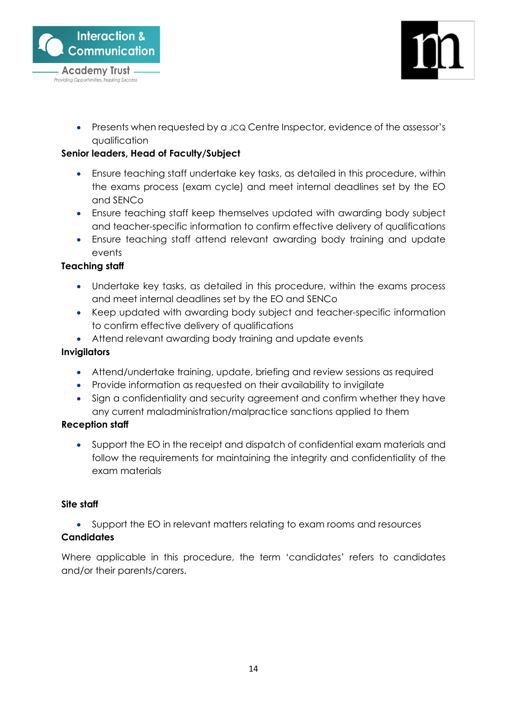



• Presents when requested by a JCQ Centre Inspector, evidence of the assessor's qualification

# **Senior leaders, Head of Faculty/Subject**

- Ensure teaching staff undertake key tasks, as detailed in this procedure, within the exams process (exam cycle) and meet internal deadlines set by the EO and SENCo
- Ensure teaching staff keep themselves updated with awarding body subject and teacher-specific information to confirm effective delivery of qualifications
- Ensure teaching staff attend relevant awarding body training and update events

# **Teaching staff**

- Undertake key tasks, as detailed in this procedure, within the exams process and meet internal deadlines set by the EO and SENCo
- Keep updated with awarding body subject and teacher-specific information to confirm effective delivery of qualifications
- Attend relevant awarding body training and update events

# **Invigilators**

- Attend/undertake training, update, briefing and review sessions as required
- Provide information as requested on their availability to invigilate
- Sign a confidentiality and security agreement and confirm whether they have any current maladministration/malpractice sanctions applied to them

# **Reception staff**

• Support the EO in the receipt and dispatch of confidential exam materials and follow the requirements for maintaining the integrity and confidentiality of the exam materials

### **Site staff**

• Support the EO in relevant matters relating to exam rooms and resources **Candidates**

Where applicable in this procedure, the term 'candidates' refers to candidates and/or their parents/carers.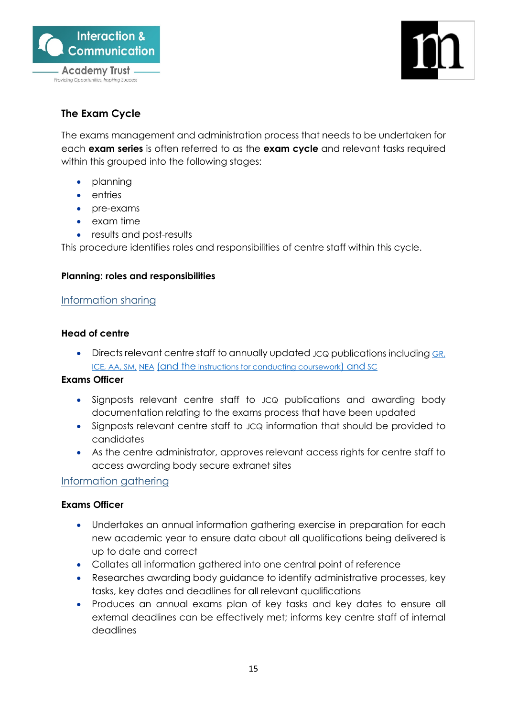



# **The Exam Cycle**

The exams management and administration process that needs to be undertaken for each **exam series** is often referred to as the **exam cycle** and relevant tasks required within this grouped into the following stages:

- planning
- entries
- pre-exams
- exam time
- results and post-results

This procedure identifies roles and responsibilities of centre staff within this cycle.

### **Planning: roles and responsibilities**

### Information sharing

### **Head of centre**

• Directs relevant centre staff to annually updated JCQ publications includin[g GR,](http://www.jcq.org.uk/exams-office/general-regulations) [ICE,](http://www.jcq.org.uk/exams-office/ice---instructions-for-conducting-examinations) [AA,](http://www.jcq.org.uk/exams-office/access-arrangements-and-special-consideration) [SM,](http://www.jcq.org.uk/exams-office/malpractice) [NEA](http://www.jcq.org.uk/exams-office/non-examination-assessments) (and the instructions for conducting coursework) and [SC](http://www.jcq.org.uk/exams-office/access-arrangements-and-special-consideration/regulations-and-guidance)

### **Exams Officer**

- Signposts relevant centre staff to JCQ publications and awarding body documentation relating to the exams process that have been updated
- Signposts relevant centre staff to JCQ information that should be provided to candidates
- As the centre administrator, approves relevant access rights for centre staff to access awarding body secure extranet sites

### Information gathering

### **Exams Officer**

- Undertakes an annual information gathering exercise in preparation for each new academic year to ensure data about all qualifications being delivered is up to date and correct
- Collates all information gathered into one central point of reference
- Researches awarding body guidance to identify administrative processes, key tasks, key dates and deadlines for all relevant qualifications
- Produces an annual exams plan of key tasks and key dates to ensure all external deadlines can be effectively met; informs key centre staff of internal deadlines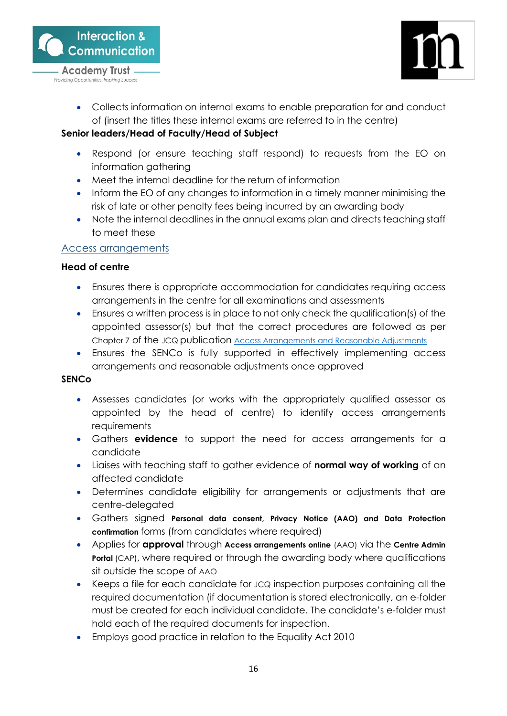



• Collects information on internal exams to enable preparation for and conduct of (insert the titles these internal exams are referred to in the centre)

# **Senior leaders/Head of Faculty/Head of Subject**

- Respond (or ensure teaching staff respond) to requests from the EO on information gathering
- Meet the internal deadline for the return of information
- Inform the EO of any changes to information in a timely manner minimising the risk of late or other penalty fees being incurred by an awarding body
- Note the internal deadlines in the annual exams plan and directs teaching staff to meet these

# Access arrangements

### **Head of centre**

- Ensures there is appropriate accommodation for candidates requiring access arrangements in the centre for all examinations and assessments
- Ensures a written process is in place to not only check the qualification(s) of the appointed assessor(s) but that the correct procedures are followed as per Chapter 7 of the JCQ publication [Access Arrangements and Reasonable Adjustments](http://www.jcq.org.uk/exams-office/access-arrangements-and-special-consideration/regulations-and-guidance)
- Ensures the SENCo is fully supported in effectively implementing access arrangements and reasonable adjustments once approved

### **SENCo**

- Assesses candidates (or works with the appropriately qualified assessor as appointed by the head of centre) to identify access arrangements requirements
- Gathers **evidence** to support the need for access arrangements for a candidate
- Liaises with teaching staff to gather evidence of **normal way of working** of an affected candidate
- Determines candidate eligibility for arrangements or adjustments that are centre-delegated
- Gathers signed **Personal data consent, Privacy Notice (AAO) and Data Protection confirmation** forms (from candidates where required)
- Applies for **approval** through **Access arrangements online** (AAO) via the **Centre Admin Portal** (CAP), where required or through the awarding body where qualifications sit outside the scope of AAO
- Keeps a file for each candidate for JCQ inspection purposes containing all the required documentation (if documentation is stored electronically, an e-folder must be created for each individual candidate. The candidate's e-folder must hold each of the required documents for inspection.
- Employs good practice in relation to the Equality Act 2010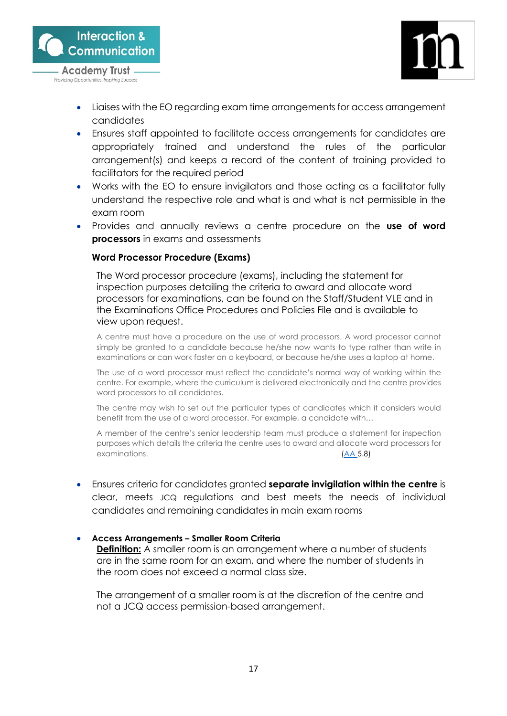



- Liaises with the EO regarding exam time arrangements for access arrangement candidates
- Ensures staff appointed to facilitate access arrangements for candidates are appropriately trained and understand the rules of the particular arrangement(s) and keeps a record of the content of training provided to facilitators for the required period
- Works with the EO to ensure invigilators and those acting as a facilitator fully understand the respective role and what is and what is not permissible in the exam room
- Provides and annually reviews a centre procedure on the **use of word processors** in exams and assessments

### **Word Processor Procedure (Exams)**

The Word processor procedure (exams), including the statement for inspection purposes detailing the criteria to award and allocate word processors for examinations, can be found on the Staff/Student VLE and in the Examinations Office Procedures and Policies File and is available to view upon request.

A centre must have a procedure on the use of word processors. A word processor cannot simply be granted to a candidate because he/she now wants to type rather than write in examinations or can work faster on a keyboard, or because he/she uses a laptop at home.

The use of a word processor must reflect the candidate's normal way of working within the centre. For example, where the curriculum is delivered electronically and the centre provides word processors to all candidates.

The centre may wish to set out the particular types of candidates which it considers would benefit from the use of a word processor. For example, a candidate with…

A member of the centre's senior leadership team must produce a statement for inspection purposes which details the criteria the centre uses to award and allocate word processors for examinations. [\(AA](http://www.jcq.org.uk/exams-office/access-arrangements-and-special-consideration) 5.8)

• Ensures criteria for candidates granted **separate invigilation within the centre** is clear, meets JCQ regulations and best meets the needs of individual candidates and remaining candidates in main exam rooms

### • **Access Arrangements – Smaller Room Criteria**

**Definition:** A smaller room is an arrangement where a number of students are in the same room for an exam, and where the number of students in the room does not exceed a normal class size.

The arrangement of a smaller room is at the discretion of the centre and not a JCQ access permission-based arrangement.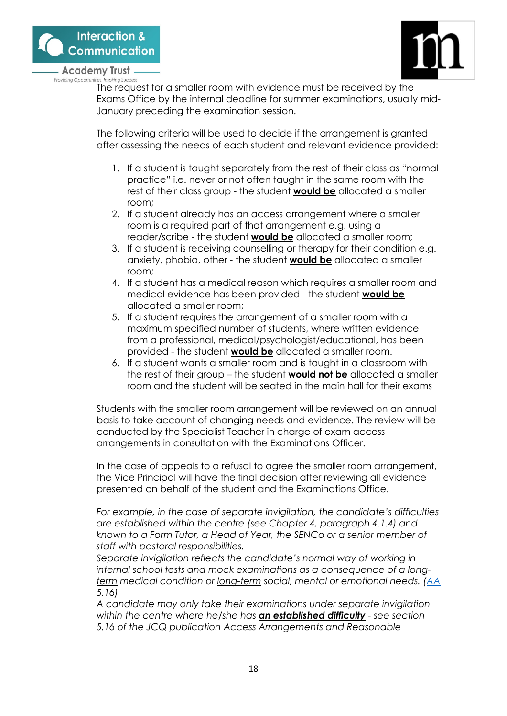



The request for a smaller room with evidence must be received by the Exams Office by the internal deadline for summer examinations, usually mid-January preceding the examination session.

The following criteria will be used to decide if the arrangement is granted after assessing the needs of each student and relevant evidence provided:

- 1. If a student is taught separately from the rest of their class as "normal practice" i.e. never or not often taught in the same room with the rest of their class group - the student **would be** allocated a smaller room;
- 2. If a student already has an access arrangement where a smaller room is a required part of that arrangement e.g. using a reader/scribe - the student **would be** allocated a smaller room;
- 3. If a student is receiving counselling or therapy for their condition e.g. anxiety, phobia, other - the student **would be** allocated a smaller room;
- 4. If a student has a medical reason which requires a smaller room and medical evidence has been provided - the student **would be** allocated a smaller room;
- 5. If a student requires the arrangement of a smaller room with a maximum specified number of students, where written evidence from a professional, medical/psychologist/educational, has been provided - the student **would be** allocated a smaller room.
- 6. If a student wants a smaller room and is taught in a classroom with the rest of their group – the student **would not be** allocated a smaller room and the student will be seated in the main hall for their exams

Students with the smaller room arrangement will be reviewed on an annual basis to take account of changing needs and evidence. The review will be conducted by the Specialist Teacher in charge of exam access arrangements in consultation with the Examinations Officer.

In the case of appeals to a refusal to agree the smaller room arrangement, the Vice Principal will have the final decision after reviewing all evidence presented on behalf of the student and the Examinations Office.

*For example, in the case of separate invigilation, the candidate's difficulties are established within the centre (see Chapter 4, paragraph 4.1.4) and known to a Form Tutor, a Head of Year, the SENCo or a senior member of staff with pastoral responsibilities.* 

Separate invigilation reflects the candidate's normal way of working in *internal school tests and mock examinations as a consequence of a longterm medical condition or long-term social, mental or emotional needs. [\(AA](http://www.jcq.org.uk/exams-office/access-arrangements-and-special-consideration/regulations-and-guidance) 5.16)*

*A candidate may only take their examinations under separate invigilation within the centre where he/she has an established difficulty - see section 5.16 of the JCQ publication Access Arrangements and Reasonable*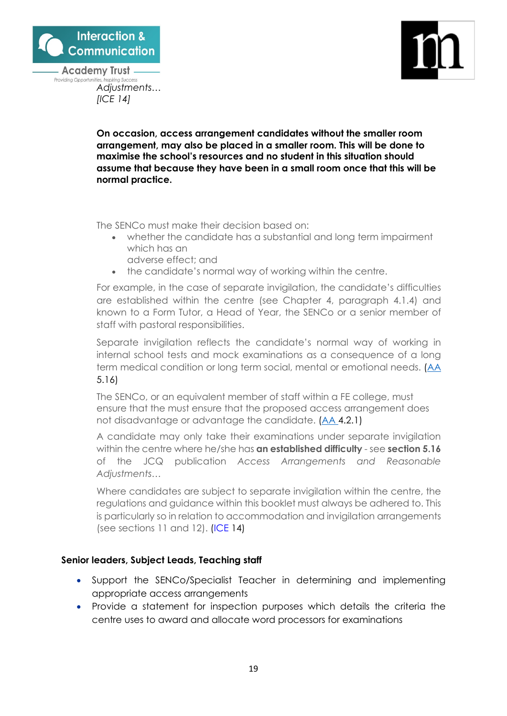

**Academy Trust** Providing Opportunities, Inspiring Success *Adjustments… [\[ICE](http://www.jcq.org.uk/exams-office/ice---instructions-for-conducting-examinations) 14]*

> **On occasion, access arrangement candidates without the smaller room arrangement, may also be placed in a smaller room. This will be done to maximise the school's resources and no student in this situation should assume that because they have been in a small room once that this will be normal practice.**

The SENCo must make their decision based on:

- whether the candidate has a substantial and long term impairment which has an adverse effect; and
- the candidate's normal way of working within the centre.

For example, in the case of separate invigilation, the candidate's difficulties are established within the centre (see Chapter 4, paragraph 4.1.4) and known to a Form Tutor, a Head of Year, the SENCo or a senior member of staff with pastoral responsibilities.

Separate invigilation reflects the candidate's normal way of working in internal school tests and mock examinations as a consequence of a long term medical condition or long term social, mental or emotional needs. [\(AA](http://www.jcq.org.uk/exams-office/access-arrangements-and-special-consideration) 5.16)

The SENCo, or an equivalent member of staff within a FE college, must ensure that the must ensure that the proposed access arrangement does not disadvantage or advantage the candidate. [\(AA](http://www.jcq.org.uk/exams-office/access-arrangements-and-special-consideration) 4.2.1)

A candidate may only take their examinations under separate invigilation within the centre where he/she has **an established difficulty** - see **section 5.16** of the JCQ publication *Access Arrangements and Reasonable Adjustments*…

Where candidates are subject to separate invigilation within the centre, the regulations and guidance within this booklet must always be adhered to. This is particularly so in relation to accommodation and invigilation arrangements (see sections 11 and 12). [\(ICE](http://www.jcq.org.uk/exams-office/ice---instructions-for-conducting-examinations) 14)

# **Senior leaders, Subject Leads, Teaching staff**

- Support the SENCo/Specialist Teacher in determining and implementing appropriate access arrangements
- Provide a statement for inspection purposes which details the criteria the centre uses to award and allocate word processors for examinations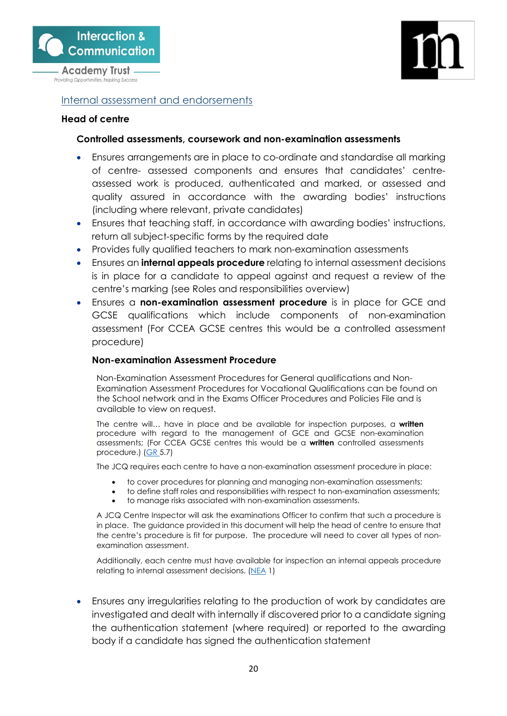



Internal assessment and endorsements

### **Head of centre**

### **Controlled assessments, coursework and non-examination assessments**

- Ensures arrangements are in place to co-ordinate and standardise all marking of centre- assessed components and ensures that candidates' centreassessed work is produced, authenticated and marked, or assessed and quality assured in accordance with the awarding bodies' instructions (including where relevant, private candidates)
- Ensures that teaching staff, in accordance with awarding bodies' instructions, return all subject-specific forms by the required date
- Provides fully qualified teachers to mark non-examination assessments
- Ensures an **internal appeals procedure** relating to internal assessment decisions is in place for a candidate to appeal against and request a review of the centre's marking (see Roles and responsibilities overview)
- Ensures a **non-examination assessment procedure** is in place for GCE and GCSE qualifications which include components of non-examination assessment (For CCEA GCSE centres this would be a controlled assessment procedure)

### **Non-examination Assessment Procedure**

Non-Examination Assessment Procedures for General qualifications and Non-Examination Assessment Procedures for Vocational Qualifications can be found on the School network and in the Exams Officer Procedures and Policies File and is available to view on request.

The centre will… have in place and be available for inspection purposes, a **written**  procedure with regard to the management of GCE and GCSE non-examination assessments; (For CCEA GCSE centres this would be a **written** controlled assessments procedure.) [\(GR](http://www.jcq.org.uk/exams-office/general-regulations) 5.7)

The JCQ requires each centre to have a non-examination assessment procedure in place:

- to cover procedures for planning and managing non-examination assessments;
- to define staff roles and responsibilities with respect to non-examination assessments;
- to manage risks associated with non-examination assessments.

A JCQ Centre Inspector will ask the examinations Officer to confirm that such a procedure is in place. The guidance provided in this document will help the head of centre to ensure that the centre's procedure is fit for purpose. The procedure will need to cover all types of nonexamination assessment.

Additionally, each centre must have available for inspection an internal appeals procedure relating to internal assessment decisions. [\(NEA](https://www.jcq.org.uk/exams-office/non-examination-assessments) 1)

• Ensures any irregularities relating to the production of work by candidates are investigated and dealt with internally if discovered prior to a candidate signing the authentication statement (where required) or reported to the awarding body if a candidate has signed the authentication statement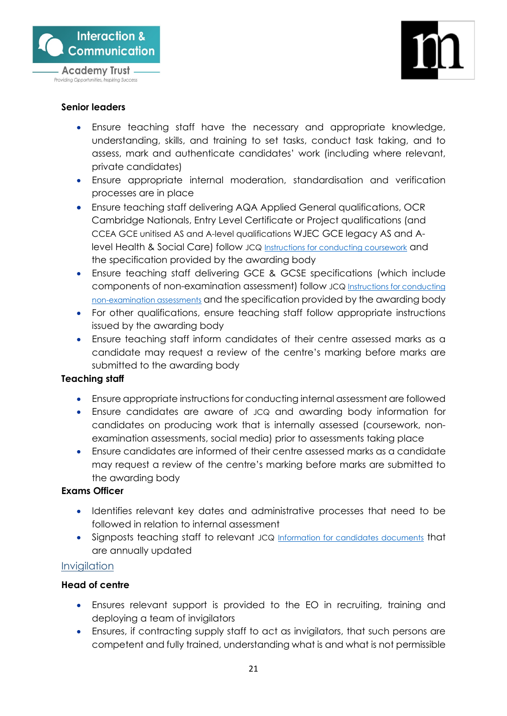



# **Senior leaders**

- Ensure teaching staff have the necessary and appropriate knowledge, understanding, skills, and training to set tasks, conduct task taking, and to assess, mark and authenticate candidates' work (including where relevant, private candidates)
- Ensure appropriate internal moderation, standardisation and verification processes are in place
- Ensure teaching staff delivering AQA Applied General qualifications, OCR Cambridge Nationals, Entry Level Certificate or Project qualifications (and CCEA GCE unitised AS and A-level qualifications WJEC GCE legacy AS and Alevel Health & Social Care) follow JCQ [Instructions for conducting coursework](http://www.jcq.org.uk/exams-office/coursework) and the specification provided by the awarding body
- Ensure teaching staff delivering GCE & GCSE specifications (which include components of non-examination assessment) follow JCQ [Instructions for conducting](http://www.jcq.org.uk/exams-office/non-examination-assessments)  [non-examination assessments](http://www.jcq.org.uk/exams-office/non-examination-assessments) and the specification provided by the awarding body
- For other qualifications, ensure teaching staff follow appropriate instructions issued by the awarding body
- Ensure teaching staff inform candidates of their centre assessed marks as a candidate may request a review of the centre's marking before marks are submitted to the awarding body

### **Teaching staff**

- Ensure appropriate instructions for conducting internal assessment are followed
- Ensure candidates are aware of JCQ and awarding body information for candidates on producing work that is internally assessed (coursework, nonexamination assessments, social media) prior to assessments taking place
- Ensure candidates are informed of their centre assessed marks as a candidate may request a review of the centre's marking before marks are submitted to the awarding body

### **Exams Officer**

- Identifies relevant key dates and administrative processes that need to be followed in relation to internal assessment
- Signposts teaching staff to relevant JCQ [Information for candidates documents](https://www.jcq.org.uk/exams-office/information-for-candidates-documents/) that are annually updated

### Invigilation

### **Head of centre**

- Ensures relevant support is provided to the EO in recruiting, training and deploying a team of invigilators
- Ensures, if contracting supply staff to act as invigilators, that such persons are competent and fully trained, understanding what is and what is not permissible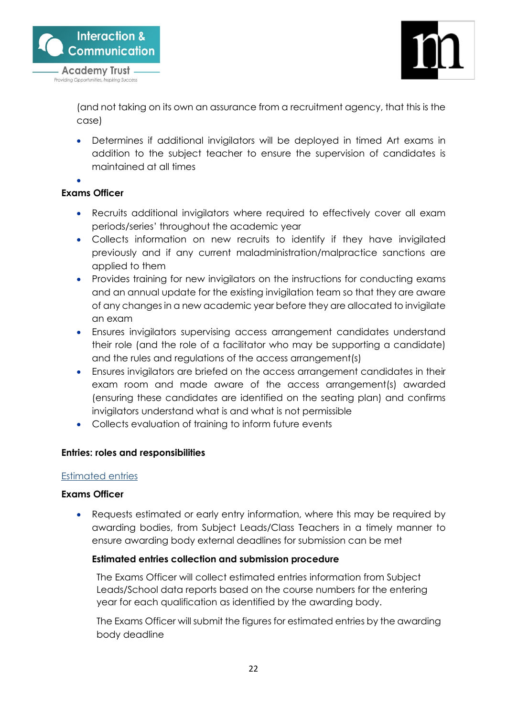

Providing Opportunities, Inspiring Success



(and not taking on its own an assurance from a recruitment agency, that this is the case)

• Determines if additional invigilators will be deployed in timed Art exams in addition to the subject teacher to ensure the supervision of candidates is maintained at all times

### • **Exams Officer**

- Recruits additional invigilators where required to effectively cover all exam periods/series' throughout the academic year
- Collects information on new recruits to identify if they have invigilated previously and if any current maladministration/malpractice sanctions are applied to them
- Provides training for new invigilators on the instructions for conducting exams and an annual update for the existing invigilation team so that they are aware of any changes in a new academic year before they are allocated to invigilate an exam
- Ensures invigilators supervising access arrangement candidates understand their role (and the role of a facilitator who may be supporting a candidate) and the rules and regulations of the access arrangement(s)
- Ensures invigilators are briefed on the access arrangement candidates in their exam room and made aware of the access arrangement(s) awarded (ensuring these candidates are identified on the seating plan) and confirms invigilators understand what is and what is not permissible
- Collects evaluation of training to inform future events

### **Entries: roles and responsibilities**

### Estimated entries

### **Exams Officer**

• Requests estimated or early entry information, where this may be required by awarding bodies, from Subject Leads/Class Teachers in a timely manner to ensure awarding body external deadlines for submission can be met

### **Estimated entries collection and submission procedure**

The Exams Officer will collect estimated entries information from Subject Leads/School data reports based on the course numbers for the entering year for each qualification as identified by the awarding body.

The Exams Officer will submit the figures for estimated entries by the awarding body deadline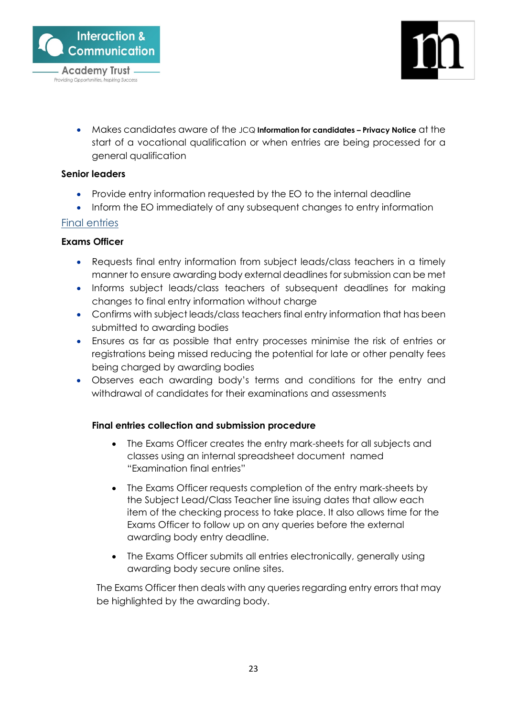

• Makes candidates aware of the JCQ **Information for candidates – Privacy Notice** at the start of a vocational qualification or when entries are being processed for a general qualification

# **Senior leaders**

- Provide entry information requested by the EO to the internal deadline
- Inform the EO immediately of any subsequent changes to entry information

# Final entries

# **Exams Officer**

- Requests final entry information from subject leads/class teachers in a timely manner to ensure awarding body external deadlines for submission can be met
- Informs subject leads/class teachers of subsequent deadlines for making changes to final entry information without charge
- Confirms with subject leads/class teachers final entry information that has been submitted to awarding bodies
- Ensures as far as possible that entry processes minimise the risk of entries or registrations being missed reducing the potential for late or other penalty fees being charged by awarding bodies
- Observes each awarding body's terms and conditions for the entry and withdrawal of candidates for their examinations and assessments

# **Final entries collection and submission procedure**

- The Exams Officer creates the entry mark-sheets for all subjects and classes using an internal spreadsheet document named "Examination final entries"
- The Exams Officer requests completion of the entry mark-sheets by the Subject Lead/Class Teacher line issuing dates that allow each item of the checking process to take place. It also allows time for the Exams Officer to follow up on any queries before the external awarding body entry deadline.
- The Exams Officer submits all entries electronically, generally using awarding body secure online sites.

The Exams Officer then deals with any queries regarding entry errors that may be highlighted by the awarding body.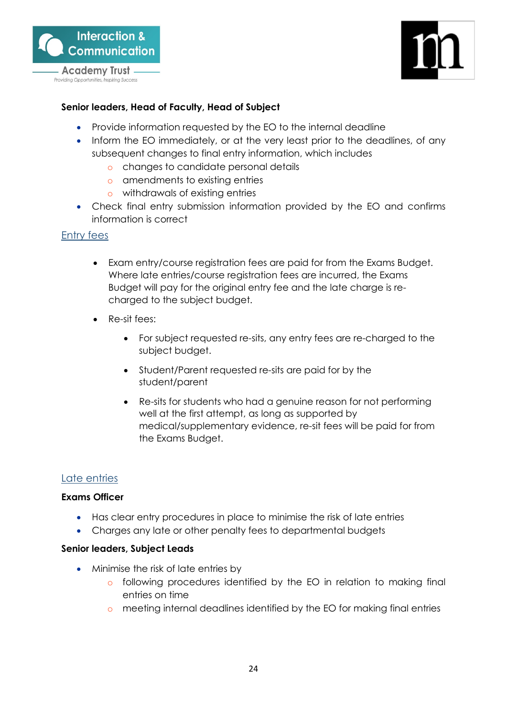



# **Senior leaders, Head of Faculty, Head of Subject**

- Provide information requested by the EO to the internal deadline
- Inform the EO immediately, or at the very least prior to the deadlines, of any subsequent changes to final entry information, which includes
	- o changes to candidate personal details
	- o amendments to existing entries
	- o withdrawals of existing entries
- Check final entry submission information provided by the EO and confirms information is correct

### Entry fees

- Exam entry/course registration fees are paid for from the Exams Budget. Where late entries/course registration fees are incurred, the Exams Budget will pay for the original entry fee and the late charge is recharged to the subject budget.
- Re-sit fees:
	- For subject requested re-sits, any entry fees are re-charged to the subject budget.
	- Student/Parent requested re-sits are paid for by the student/parent
	- Re-sits for students who had a genuine reason for not performing well at the first attempt, as long as supported by medical/supplementary evidence, re-sit fees will be paid for from the Exams Budget.

### Late entries

### **Exams Officer**

- Has clear entry procedures in place to minimise the risk of late entries
- Charges any late or other penalty fees to departmental budgets

### **Senior leaders, Subject Leads**

- Minimise the risk of late entries by
	- o following procedures identified by the EO in relation to making final entries on time
	- o meeting internal deadlines identified by the EO for making final entries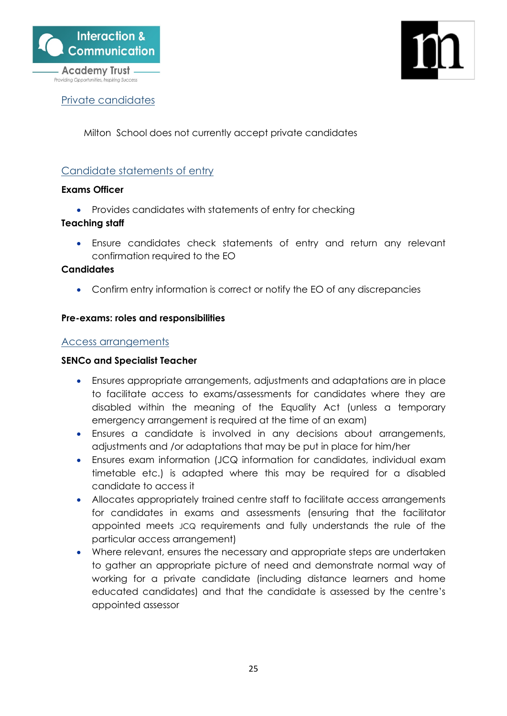



# Private candidates

Milton School does not currently accept private candidates

# Candidate statements of entry

### **Exams Officer**

• Provides candidates with statements of entry for checking

### **Teaching staff**

• Ensure candidates check statements of entry and return any relevant confirmation required to the EO

### **Candidates**

• Confirm entry information is correct or notify the EO of any discrepancies

### **Pre-exams: roles and responsibilities**

### Access arrangements

### **SENCo and Specialist Teacher**

- Ensures appropriate arrangements, adjustments and adaptations are in place to facilitate access to exams/assessments for candidates where they are disabled within the meaning of the Equality Act (unless a temporary emergency arrangement is required at the time of an exam)
- Ensures a candidate is involved in any decisions about arrangements, adjustments and /or adaptations that may be put in place for him/her
- Ensures exam information (JCQ information for candidates, individual exam timetable etc.) is adapted where this may be required for a disabled candidate to access it
- Allocates appropriately trained centre staff to facilitate access arrangements for candidates in exams and assessments (ensuring that the facilitator appointed meets JCQ requirements and fully understands the rule of the particular access arrangement)
- Where relevant, ensures the necessary and appropriate steps are undertaken to gather an appropriate picture of need and demonstrate normal way of working for a private candidate (including distance learners and home educated candidates) and that the candidate is assessed by the centre's appointed assessor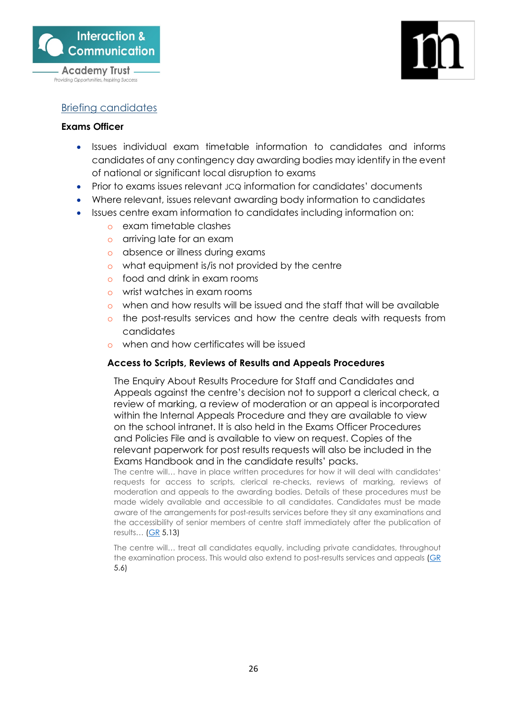



# Briefing candidates

### **Exams Officer**

- Issues individual exam timetable information to candidates and informs candidates of any contingency day awarding bodies may identify in the event of national or significant local disruption to exams
- Prior to exams issues relevant JCQ information for candidates' documents
- Where relevant, issues relevant awarding body information to candidates
- Issues centre exam information to candidates including information on:
	- o exam timetable clashes
	- o arriving late for an exam
	- o absence or illness during exams
	- o what equipment is/is not provided by the centre
	- o food and drink in exam rooms
	- o wrist watches in exam rooms
	- o when and how results will be issued and the staff that will be available
	- o the post-results services and how the centre deals with requests from candidates
	- when and how certificates will be issued

### **Access to Scripts, Reviews of Results and Appeals Procedures**

The Enquiry About Results Procedure for Staff and Candidates and Appeals against the centre's decision not to support a clerical check, a review of marking, a review of moderation or an appeal is incorporated within the Internal Appeals Procedure and they are available to view on the school intranet. It is also held in the Exams Officer Procedures and Policies File and is available to view on request. Copies of the relevant paperwork for post results requests will also be included in the Exams Handbook and in the candidate results' packs.

The centre will… have in place written procedures for how it will deal with candidates' requests for access to scripts, clerical re-checks, reviews of marking, reviews of moderation and appeals to the awarding bodies. Details of these procedures must be made widely available and accessible to all candidates. Candidates must be made aware of the arrangements for post-results services before they sit any examinations and the accessibility of senior members of centre staff immediately after the publication of results… [\(GR](http://www.jcq.org.uk/exams-office/general-regulations) 5.13)

The centre will… treat all candidates equally, including private candidates, throughout the examination process. This would also extend to post-results services and appeals [\(GR](http://www.jcq.org.uk/exams-office/general-regulations) 5.6)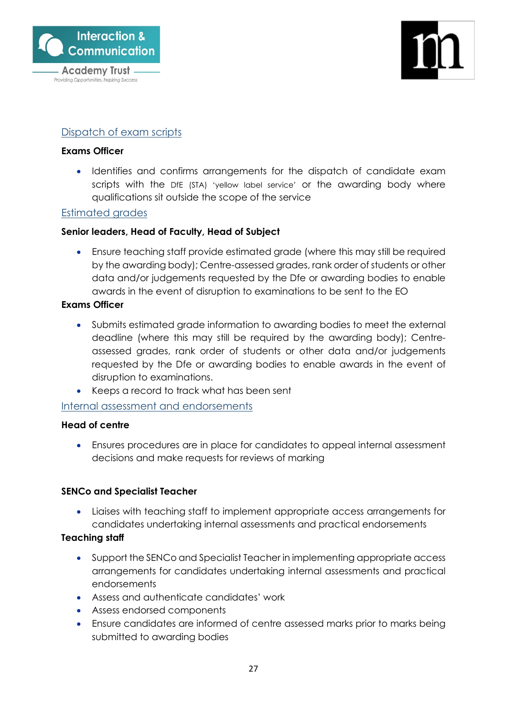



# Dispatch of exam scripts

### **Exams Officer**

• Identifies and confirms arrangements for the dispatch of candidate exam scripts with the DfE (STA) 'yellow label service' or the awarding body where qualifications sit outside the scope of the service

### Estimated grades

### **Senior leaders, Head of Faculty, Head of Subject**

• Ensure teaching staff provide estimated grade (where this may still be required by the awarding body); Centre-assessed grades, rank order of students or other data and/or judgements requested by the Dfe or awarding bodies to enable awards in the event of disruption to examinations to be sent to the EO

### **Exams Officer**

- Submits estimated grade information to awarding bodies to meet the external deadline (where this may still be required by the awarding body); Centreassessed grades, rank order of students or other data and/or judgements requested by the Dfe or awarding bodies to enable awards in the event of disruption to examinations.
- Keeps a record to track what has been sent

### Internal assessment and endorsements

### **Head of centre**

• Ensures procedures are in place for candidates to appeal internal assessment decisions and make requests for reviews of marking

### **SENCo and Specialist Teacher**

• Liaises with teaching staff to implement appropriate access arrangements for candidates undertaking internal assessments and practical endorsements

### **Teaching staff**

- Support the SENCo and Specialist Teacher in implementing appropriate access arrangements for candidates undertaking internal assessments and practical endorsements
- Assess and authenticate candidates' work
- Assess endorsed components
- Ensure candidates are informed of centre assessed marks prior to marks being submitted to awarding bodies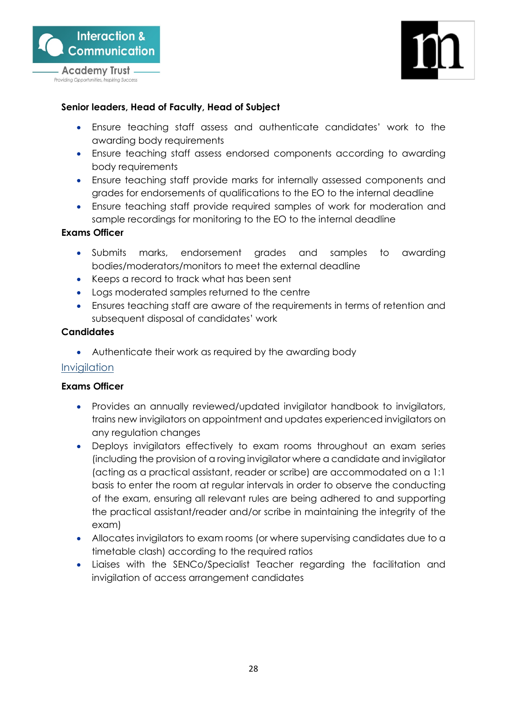

Providina Opportunities, Inspiring Success



# **Senior leaders, Head of Faculty, Head of Subject**

- Ensure teaching staff assess and authenticate candidates' work to the awarding body requirements
- Ensure teaching staff assess endorsed components according to awarding body requirements
- Ensure teaching staff provide marks for internally assessed components and grades for endorsements of qualifications to the EO to the internal deadline
- Ensure teaching staff provide required samples of work for moderation and sample recordings for monitoring to the EO to the internal deadline

### **Exams Officer**

- Submits marks, endorsement grades and samples to awarding bodies/moderators/monitors to meet the external deadline
- Keeps a record to track what has been sent
- Logs moderated samples returned to the centre
- Ensures teaching staff are aware of the requirements in terms of retention and subsequent disposal of candidates' work

### **Candidates**

• Authenticate their work as required by the awarding body

### Invigilation

### **Exams Officer**

- Provides an annually reviewed/updated invigilator handbook to invigilators, trains new invigilators on appointment and updates experienced invigilators on any regulation changes
- Deploys invigilators effectively to exam rooms throughout an exam series (including the provision of a roving invigilator where a candidate and invigilator (acting as a practical assistant, reader or scribe) are accommodated on a 1:1 basis to enter the room at regular intervals in order to observe the conducting of the exam, ensuring all relevant rules are being adhered to and supporting the practical assistant/reader and/or scribe in maintaining the integrity of the exam)
- Allocates invigilators to exam rooms (or where supervising candidates due to a timetable clash) according to the required ratios
- Liaises with the SENCo/Specialist Teacher regarding the facilitation and invigilation of access arrangement candidates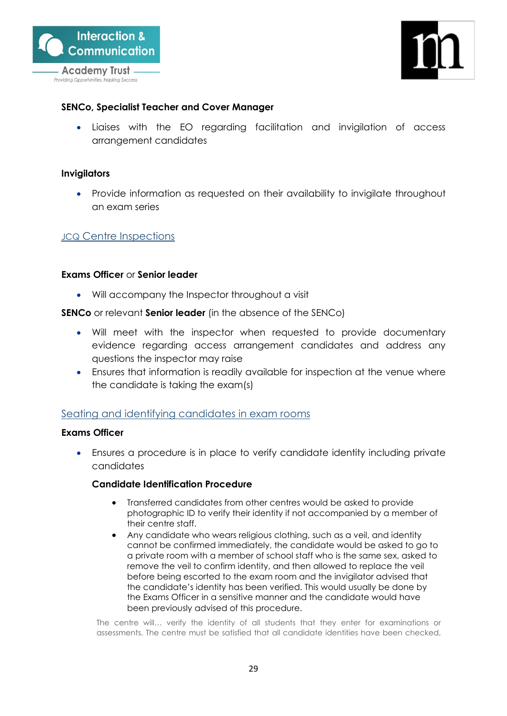

### **SENCo, Specialist Teacher and Cover Manager**

• Liaises with the EO regarding facilitation and invigilation of access arrangement candidates

### **Invigilators**

• Provide information as requested on their availability to invigilate throughout an exam series

### JCQ Centre Inspections

### **Exams Officer** or **Senior leader**

• Will accompany the Inspector throughout a visit

**SENCo** or relevant **Senior leader** (in the absence of the SENCo)

- Will meet with the inspector when requested to provide documentary evidence regarding access arrangement candidates and address any questions the inspector may raise
- Ensures that information is readily available for inspection at the venue where the candidate is taking the exam(s)

### Seating and identifying candidates in exam rooms

### **Exams Officer**

• Ensures a procedure is in place to verify candidate identity including private candidates

### **Candidate Identification Procedure**

- Transferred candidates from other centres would be asked to provide photographic ID to verify their identity if not accompanied by a member of their centre staff.
- Any candidate who wears religious clothing, such as a veil, and identity cannot be confirmed immediately, the candidate would be asked to go to a private room with a member of school staff who is the same sex, asked to remove the veil to confirm identity, and then allowed to replace the veil before being escorted to the exam room and the invigilator advised that the candidate's identity has been verified. This would usually be done by the Exams Officer in a sensitive manner and the candidate would have been previously advised of this procedure.

The centre will… verify the identity of all students that they enter for examinations or assessments. The centre must be satisfied that all candidate identities have been checked,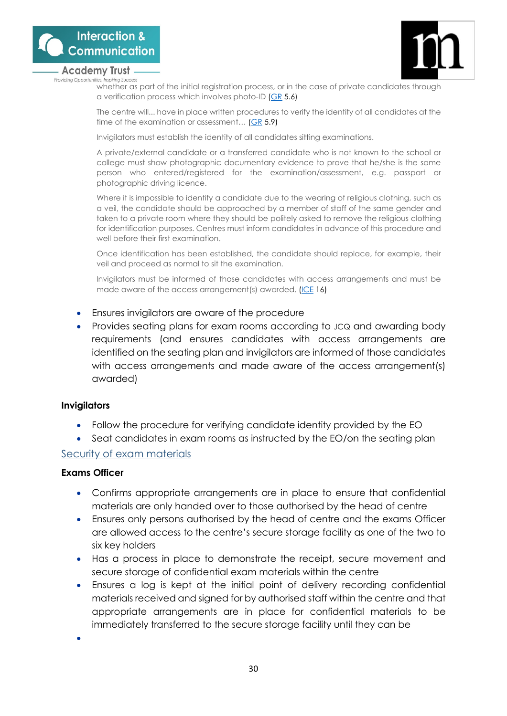



whether as part of the initial registration process, or in the case of private candidates through a verification process which involves photo-ID [\(GR](http://www.jcq.org.uk/exams-office/general-regulations) 5.6)

The centre will... have in place written procedures to verify the identity of all candidates at the time of the examination or assessment... [\(GR](http://www.jcq.org.uk/exams-office/general-regulations) 5.9)

Invigilators must establish the identity of all candidates sitting examinations.

A private/external candidate or a transferred candidate who is not known to the school or college must show photographic documentary evidence to prove that he/she is the same person who entered/registered for the examination/assessment, e.g. passport or photographic driving licence.

Where it is impossible to identify a candidate due to the wearing of religious clothing, such as a veil, the candidate should be approached by a member of staff of the same gender and taken to a private room where they should be politely asked to remove the religious clothing for identification purposes. Centres must inform candidates in advance of this procedure and well before their first examination.

Once identification has been established, the candidate should replace, for example, their veil and proceed as normal to sit the examination.

Invigilators must be informed of those candidates with access arrangements and must be made aware of the access arrangement(s) awarded. [\(ICE](http://www.jcq.org.uk/exams-office/ice---instructions-for-conducting-examinations) 16)

- Ensures invigilators are aware of the procedure
- Provides seating plans for exam rooms according to JCQ and awarding body requirements (and ensures candidates with access arrangements are identified on the seating plan and invigilators are informed of those candidates with access arrangements and made aware of the access arrangement(s) awarded)

### **Invigilators**

- Follow the procedure for verifying candidate identity provided by the EO
- Seat candidates in exam rooms as instructed by the EO/on the seating plan

### Security of exam materials

### **Exams Officer**

- Confirms appropriate arrangements are in place to ensure that confidential materials are only handed over to those authorised by the head of centre
- Ensures only persons authorised by the head of centre and the exams Officer are allowed access to the centre's secure storage facility as one of the two to six key holders
- Has a process in place to demonstrate the receipt, secure movement and secure storage of confidential exam materials within the centre
- Ensures a log is kept at the initial point of delivery recording confidential materials received and signed for by authorised staff within the centre and that appropriate arrangements are in place for confidential materials to be immediately transferred to the secure storage facility until they can be

•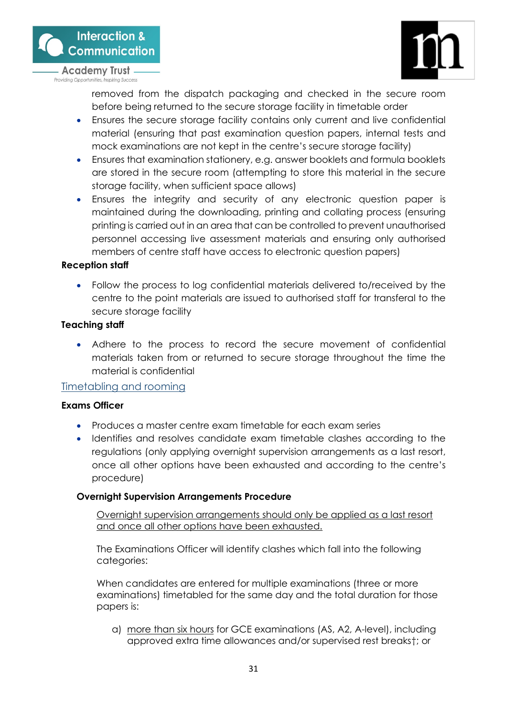



removed from the dispatch packaging and checked in the secure room before being returned to the secure storage facility in timetable order

- Ensures the secure storage facility contains only current and live confidential material (ensuring that past examination question papers, internal tests and mock examinations are not kept in the centre's secure storage facility)
- Ensures that examination stationery, e.g. answer booklets and formula booklets are stored in the secure room (attempting to store this material in the secure storage facility, when sufficient space allows)
- Ensures the integrity and security of any electronic question paper is maintained during the downloading, printing and collating process (ensuring printing is carried out in an area that can be controlled to prevent unauthorised personnel accessing live assessment materials and ensuring only authorised members of centre staff have access to electronic question papers)

### **Reception staff**

• Follow the process to log confidential materials delivered to/received by the centre to the point materials are issued to authorised staff for transferal to the secure storage facility

### **Teaching staff**

• Adhere to the process to record the secure movement of confidential materials taken from or returned to secure storage throughout the time the material is confidential

### Timetabling and rooming

### **Exams Officer**

- Produces a master centre exam timetable for each exam series
- Identifies and resolves candidate exam timetable clashes according to the regulations (only applying overnight supervision arrangements as a last resort, once all other options have been exhausted and according to the centre's procedure)

### **Overnight Supervision Arrangements Procedure**

Overnight supervision arrangements should only be applied as a last resort and once all other options have been exhausted.

The Examinations Officer will identify clashes which fall into the following categories:

When candidates are entered for multiple examinations (three or more examinations) timetabled for the same day and the total duration for those papers is:

a) more than six hours for GCE examinations (AS, A2, A-level), including approved extra time allowances and/or supervised rest breaks†; or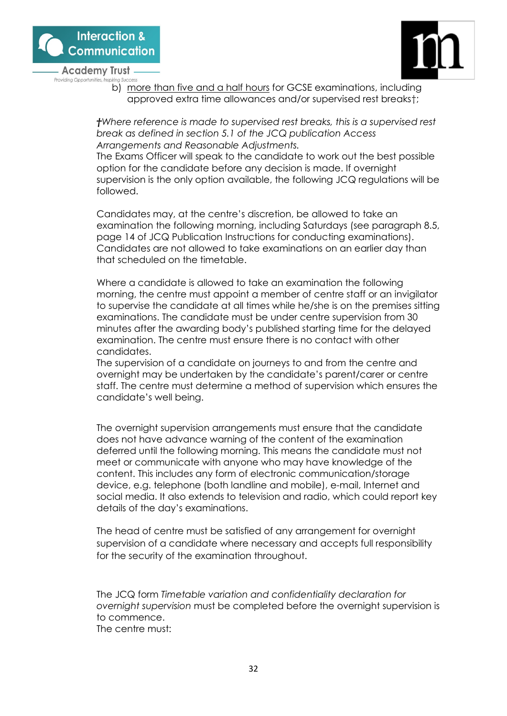

**Academy Trust** 

Providina Opportunities, Ins



b) more than five and a half hours for GCSE examinations, including approved extra time allowances and/or supervised rest breaks†;

*†Where reference is made to supervised rest breaks, this is a supervised rest break as defined in section 5.1 of the JCQ publication Access Arrangements and Reasonable Adjustments.* 

The Exams Officer will speak to the candidate to work out the best possible option for the candidate before any decision is made. If overnight supervision is the only option available, the following JCQ regulations will be followed.

Candidates may, at the centre's discretion, be allowed to take an examination the following morning, including Saturdays (see paragraph 8.5, page 14 of JCQ Publication Instructions for conducting examinations). Candidates are not allowed to take examinations on an earlier day than that scheduled on the timetable.

Where a candidate is allowed to take an examination the following morning, the centre must appoint a member of centre staff or an invigilator to supervise the candidate at all times while he/she is on the premises sitting examinations. The candidate must be under centre supervision from 30 minutes after the awarding body's published starting time for the delayed examination. The centre must ensure there is no contact with other candidates.

The supervision of a candidate on journeys to and from the centre and overnight may be undertaken by the candidate's parent/carer or centre staff. The centre must determine a method of supervision which ensures the candidate's well being.

The overnight supervision arrangements must ensure that the candidate does not have advance warning of the content of the examination deferred until the following morning. This means the candidate must not meet or communicate with anyone who may have knowledge of the content. This includes any form of electronic communication/storage device, e.g. telephone (both landline and mobile), e-mail, Internet and social media. It also extends to television and radio, which could report key details of the day's examinations.

The head of centre must be satisfied of any arrangement for overnight supervision of a candidate where necessary and accepts full responsibility for the security of the examination throughout.

The JCQ form *Timetable variation and confidentiality declaration for overnight supervision* must be completed before the overnight supervision is to commence. The centre must:

32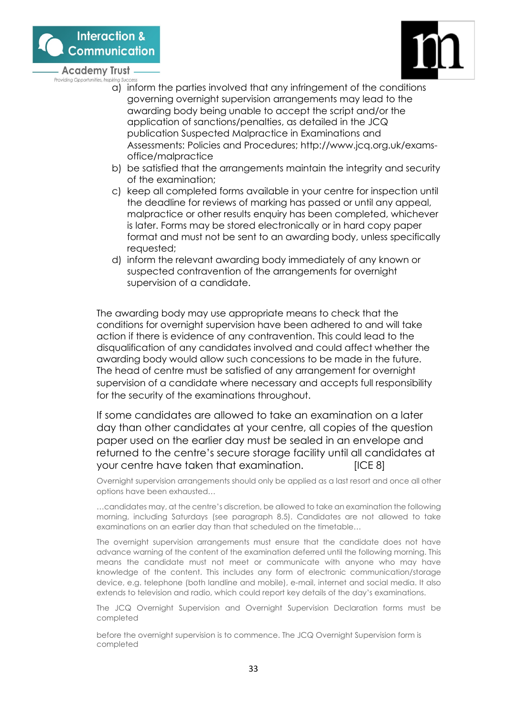



- a) inform the parties involved that any infringement of the conditions governing overnight supervision arrangements may lead to the awarding body being unable to accept the script and/or the application of sanctions/penalties, as detailed in the JCQ publication Suspected Malpractice in Examinations and Assessments: Policies and Procedures; http://www.jcq.org.uk/examsoffice/malpractice
- b) be satisfied that the arrangements maintain the integrity and security of the examination;
- c) keep all completed forms available in your centre for inspection until the deadline for reviews of marking has passed or until any appeal, malpractice or other results enquiry has been completed, whichever is later. Forms may be stored electronically or in hard copy paper format and must not be sent to an awarding body, unless specifically requested;
- d) inform the relevant awarding body immediately of any known or suspected contravention of the arrangements for overnight supervision of a candidate.

The awarding body may use appropriate means to check that the conditions for overnight supervision have been adhered to and will take action if there is evidence of any contravention. This could lead to the disqualification of any candidates involved and could affect whether the awarding body would allow such concessions to be made in the future. The head of centre must be satisfied of any arrangement for overnight supervision of a candidate where necessary and accepts full responsibility for the security of the examinations throughout.

If some candidates are allowed to take an examination on a later day than other candidates at your centre, all copies of the question paper used on the earlier day must be sealed in an envelope and returned to the centre's secure storage facility until all candidates at your centre have taken that examination. [ICE 8]

Overnight supervision arrangements should only be applied as a last resort and once all other options have been exhausted…

…candidates may, at the centre's discretion, be allowed to take an examination the following morning, including Saturdays (see paragraph 8.5). Candidates are not allowed to take examinations on an earlier day than that scheduled on the timetable…

The overnight supervision arrangements must ensure that the candidate does not have advance warning of the content of the examination deferred until the following morning. This means the candidate must not meet or communicate with anyone who may have knowledge of the content. This includes any form of electronic communication/storage device, e.g. telephone (both landline and mobile), e-mail, internet and social media. It also extends to television and radio, which could report key details of the day's examinations.

The JCQ Overnight Supervision and Overnight Supervision Declaration forms must be completed

before the overnight supervision is to commence. The JCQ Overnight Supervision form is completed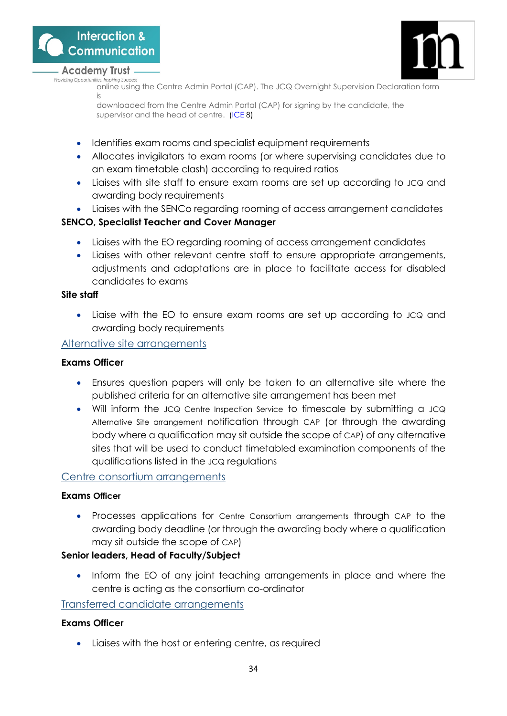



online using the Centre Admin Portal (CAP). The JCQ Overnight Supervision Declaration form is

downloaded from the Centre Admin Portal (CAP) for signing by the candidate, the supervisor and the head of centre. [\(ICE](http://www.jcq.org.uk/exams-office/ice---instructions-for-conducting-examinations) 8)

- Identifies exam rooms and specialist equipment requirements
- Allocates invigilators to exam rooms (or where supervising candidates due to an exam timetable clash) according to required ratios
- Liaises with site staff to ensure exam rooms are set up according to JcQ and awarding body requirements
- Liaises with the SENCo regarding rooming of access arrangement candidates

### **SENCO, Specialist Teacher and Cover Manager**

- Liaises with the EO regarding rooming of access arrangement candidates
- Liaises with other relevant centre staff to ensure appropriate arrangements, adjustments and adaptations are in place to facilitate access for disabled candidates to exams

### **Site staff**

• Liaise with the EO to ensure exam rooms are set up according to JCQ and awarding body requirements

### Alternative site arrangements

### **Exams Officer**

- Ensures question papers will only be taken to an alternative site where the published criteria for an alternative site arrangement has been met
- Will inform the JCQ Centre Inspection Service to timescale by submitting a JCQ Alternative Site arrangement notification through CAP (or through the awarding body where a qualification may sit outside the scope of CAP) of any alternative sites that will be used to conduct timetabled examination components of the qualifications listed in the JCQ regulations

### Centre consortium arrangements

### **Exams Officer**

• Processes applications for Centre Consortium arrangements through CAP to the awarding body deadline (or through the awarding body where a qualification may sit outside the scope of CAP)

### **Senior leaders, Head of Faculty/Subject**

• Inform the EO of any joint teaching arrangements in place and where the centre is acting as the consortium co-ordinator

### Transferred candidate arrangements

### **Exams Officer**

• Liaises with the host or entering centre, as required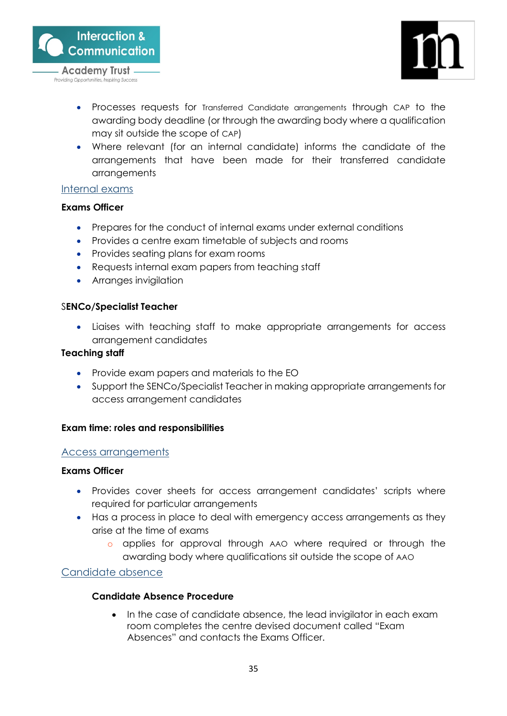



- Processes requests for Transferred Candidate arrangements through CAP to the awarding body deadline (or through the awarding body where a qualification may sit outside the scope of CAP)
- Where relevant (for an internal candidate) informs the candidate of the arrangements that have been made for their transferred candidate arrangements

### Internal exams

### **Exams Officer**

- Prepares for the conduct of internal exams under external conditions
- Provides a centre exam timetable of subjects and rooms
- Provides seating plans for exam rooms
- Requests internal exam papers from teaching staff
- Arranges invigilation

### S**ENCo/Specialist Teacher**

• Liaises with teaching staff to make appropriate arrangements for access arrangement candidates

### **Teaching staff**

- Provide exam papers and materials to the EO
- Support the SENCo/Specialist Teacher in making appropriate arrangements for access arrangement candidates

### **Exam time: roles and responsibilities**

### Access arrangements

### **Exams Officer**

- Provides cover sheets for access arrangement candidates' scripts where required for particular arrangements
- Has a process in place to deal with emergency access arrangements as they arise at the time of exams
	- o applies for approval through AAO where required or through the awarding body where qualifications sit outside the scope of AAO

### Candidate absence

### **Candidate Absence Procedure**

• In the case of candidate absence, the lead invigilator in each exam room completes the centre devised document called "Exam Absences" and contacts the Exams Officer.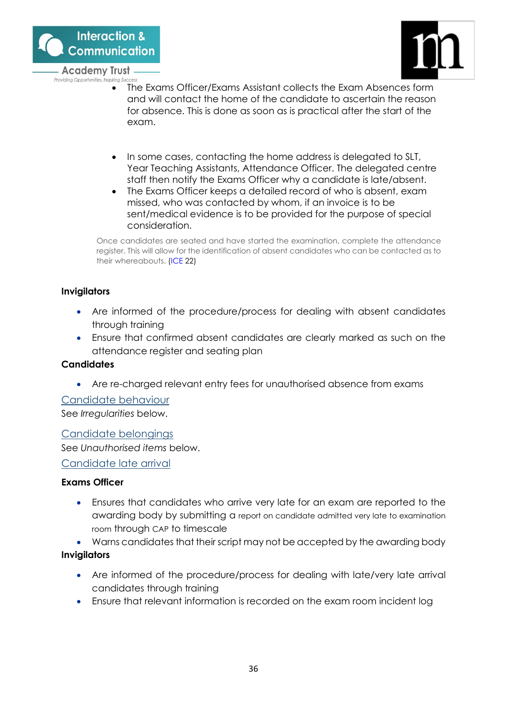

**Academy Trust** 



- Providing Opportunities, Inspiring Succes • The Exams Officer/Exams Assistant collects the Exam Absences form and will contact the home of the candidate to ascertain the reason for absence. This is done as soon as is practical after the start of the exam.
	- In some cases, contacting the home address is delegated to SLT, Year Teaching Assistants, Attendance Officer. The delegated centre staff then notify the Exams Officer why a candidate is late/absent.
	- The Exams Officer keeps a detailed record of who is absent, exam missed, who was contacted by whom, if an invoice is to be sent/medical evidence is to be provided for the purpose of special consideration.

Once candidates are seated and have started the examination, complete the attendance register. This will allow for the identification of absent candidates who can be contacted as to their whereabouts. [\(ICE](http://www.jcq.org.uk/exams-office/ice---instructions-for-conducting-examinations) 22)

# **Invigilators**

- Are informed of the procedure/process for dealing with absent candidates through training
- Ensure that confirmed absent candidates are clearly marked as such on the attendance register and seating plan

### **Candidates**

• Are re-charged relevant entry fees for unauthorised absence from exams

Candidate behaviour See *Irregularities* below.

Candidate belongings See *Unauthorised items* below. Candidate late arrival

### **Exams Officer**

- Ensures that candidates who arrive very late for an exam are reported to the awarding body by submitting a report on candidate admitted very late to examination room through CAP to timescale
- Warns candidates that their script may not be accepted by the awarding body **Invigilators**
	- Are informed of the procedure/process for dealing with late/very late arrival candidates through training
	- Ensure that relevant information is recorded on the exam room incident log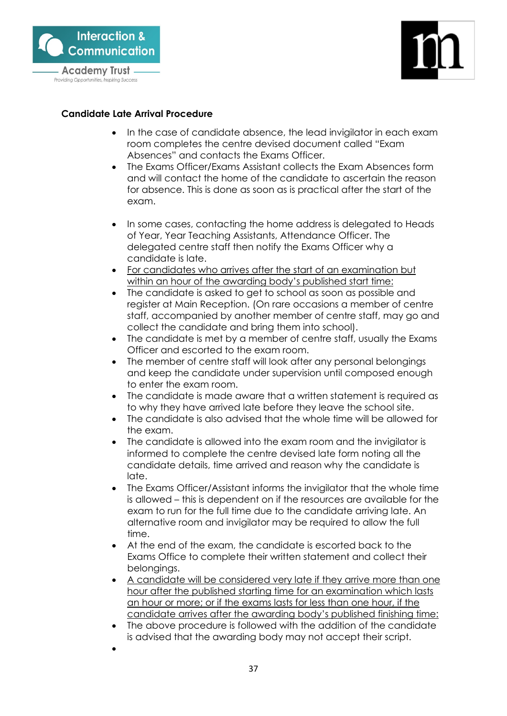



### **Candidate Late Arrival Procedure**

- In the case of candidate absence, the lead invigilator in each exam room completes the centre devised document called "Exam Absences" and contacts the Exams Officer.
- The Exams Officer/Exams Assistant collects the Exam Absences form and will contact the home of the candidate to ascertain the reason for absence. This is done as soon as is practical after the start of the exam.
- In some cases, contacting the home address is delegated to Heads of Year, Year Teaching Assistants, Attendance Officer. The delegated centre staff then notify the Exams Officer why a candidate is late.
- For candidates who arrives after the start of an examination but within an hour of the awarding body's published start time:
- The candidate is asked to get to school as soon as possible and register at Main Reception. (On rare occasions a member of centre staff, accompanied by another member of centre staff, may go and collect the candidate and bring them into school).
- The candidate is met by a member of centre staff, usually the Exams Officer and escorted to the exam room.
- The member of centre staff will look after any personal belongings and keep the candidate under supervision until composed enough to enter the exam room.
- The candidate is made aware that a written statement is required as to why they have arrived late before they leave the school site.
- The candidate is also advised that the whole time will be allowed for the exam.
- The candidate is allowed into the exam room and the invigilator is informed to complete the centre devised late form noting all the candidate details, time arrived and reason why the candidate is late.
- The Exams Officer/Assistant informs the invigilator that the whole time is allowed – this is dependent on if the resources are available for the exam to run for the full time due to the candidate arriving late. An alternative room and invigilator may be required to allow the full time.
- At the end of the exam, the candidate is escorted back to the Exams Office to complete their written statement and collect their belongings.
- A candidate will be considered very late if they arrive more than one hour after the published starting time for an examination which lasts an hour or more; or if the exams lasts for less than one hour, if the candidate arrives after the awarding body's published finishing time:
- The above procedure is followed with the addition of the candidate is advised that the awarding body may not accept their script.
- •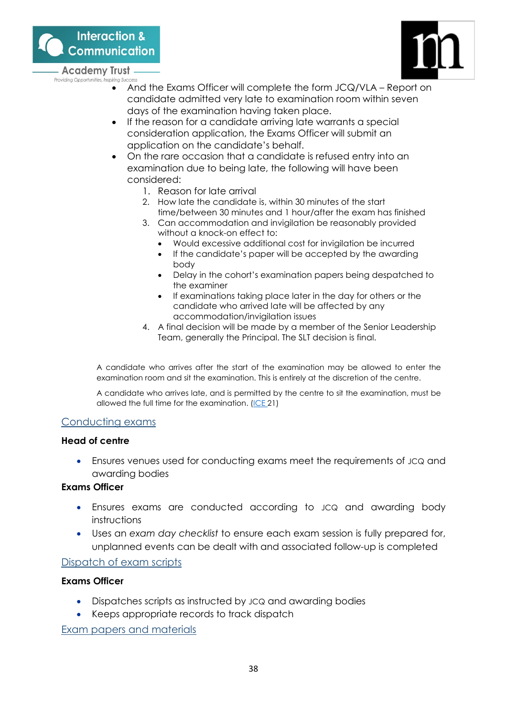



- And the Exams Officer will complete the form JCQ/VLA Report on candidate admitted very late to examination room within seven days of the examination having taken place.
- If the reason for a candidate arriving late warrants a special consideration application, the Exams Officer will submit an application on the candidate's behalf.
- On the rare occasion that a candidate is refused entry into an examination due to being late, the following will have been considered:
	- 1. Reason for late arrival
	- 2. How late the candidate is, within 30 minutes of the start time/between 30 minutes and 1 hour/after the exam has finished
	- 3. Can accommodation and invigilation be reasonably provided without a knock-on effect to:
		- Would excessive additional cost for invigilation be incurred
		- If the candidate's paper will be accepted by the awarding body
		- Delay in the cohort's examination papers being despatched to the examiner
		- If examinations taking place later in the day for others or the candidate who arrived late will be affected by any accommodation/invigilation issues
	- 4. A final decision will be made by a member of the Senior Leadership Team, generally the Principal. The SLT decision is final.

A candidate who arrives after the start of the examination may be allowed to enter the examination room and sit the examination. This is entirely at the discretion of the centre.

A candidate who arrives late, and is permitted by the centre to sit the examination, must be allowed the full time for the examination. [\(ICE](http://www.jcq.org.uk/exams-office/ice---instructions-for-conducting-examinations) 21)

### Conducting exams

### **Head of centre**

• Ensures venues used for conducting exams meet the requirements of JCQ and awarding bodies

### **Exams Officer**

- Ensures exams are conducted according to JCQ and awarding body instructions
- Uses an *exam day checklist* to ensure each exam session is fully prepared for, unplanned events can be dealt with and associated follow-up is completed

# Dispatch of exam scripts

### **Exams Officer**

- Dispatches scripts as instructed by JCQ and awarding bodies
- Keeps appropriate records to track dispatch

Exam papers and materials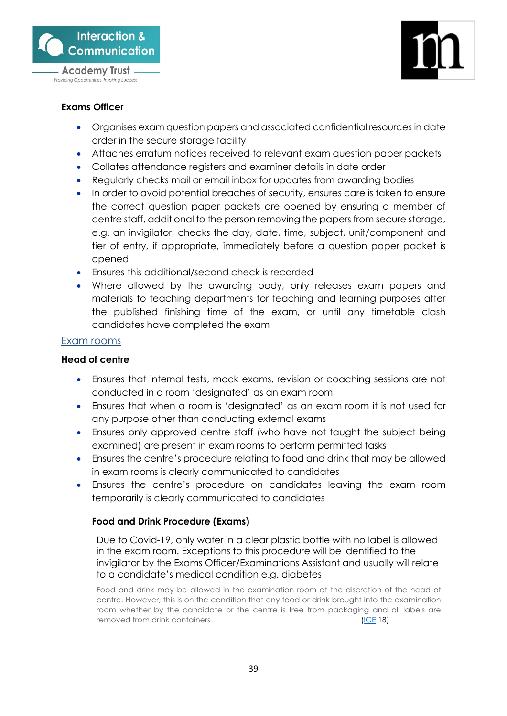

Providing Opportunities, Inspiring Success



# **Exams Officer**

- Organises exam question papers and associated confidential resources in date order in the secure storage facility
- Attaches erratum notices received to relevant exam question paper packets
- Collates attendance registers and examiner details in date order
- Regularly checks mail or email inbox for updates from awarding bodies
- In order to avoid potential breaches of security, ensures care is taken to ensure the correct question paper packets are opened by ensuring a member of centre staff, additional to the person removing the papers from secure storage, e.g. an invigilator, checks the day, date, time, subject, unit/component and tier of entry, if appropriate, immediately before a question paper packet is opened
- Ensures this additional/second check is recorded
- Where allowed by the awarding body, only releases exam papers and materials to teaching departments for teaching and learning purposes after the published finishing time of the exam, or until any timetable clash candidates have completed the exam

### Exam rooms

### **Head of centre**

- Ensures that internal tests, mock exams, revision or coaching sessions are not conducted in a room 'designated' as an exam room
- Ensures that when a room is 'designated' as an exam room it is not used for any purpose other than conducting external exams
- Ensures only approved centre staff (who have not taught the subject being examined) are present in exam rooms to perform permitted tasks
- Ensures the centre's procedure relating to food and drink that may be allowed in exam rooms is clearly communicated to candidates
- Ensures the centre's procedure on candidates leaving the exam room temporarily is clearly communicated to candidates

### **Food and Drink Procedure (Exams)**

Due to Covid-19, only water in a clear plastic bottle with no label is allowed in the exam room. Exceptions to this procedure will be identified to the invigilator by the Exams Officer/Examinations Assistant and usually will relate to a candidate's medical condition e.g. diabetes

Food and drink may be allowed in the examination room at the discretion of the head of centre. However, this is on the condition that any food or drink brought into the examination room whether by the candidate or the centre is free from packaging and all labels are removed from drink containers [\(ICE](http://www.jcq.org.uk/exams-office/ice---instructions-for-conducting-examinations) 18)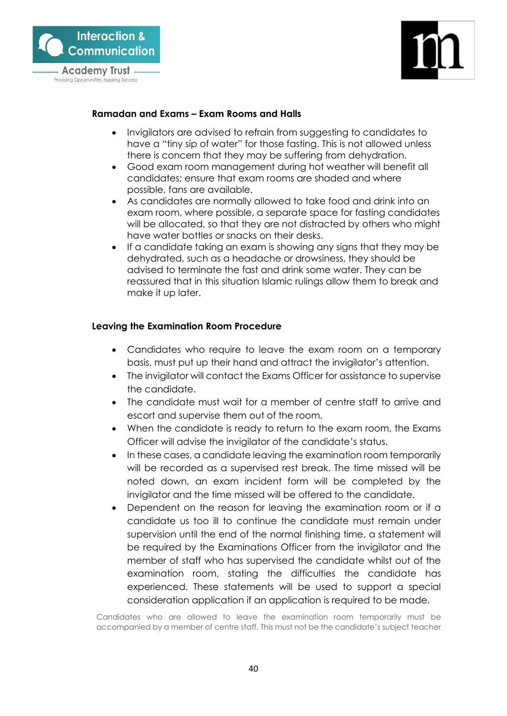

### **Ramadan and Exams – Exam Rooms and Halls**

- Invigilators are advised to refrain from suggesting to candidates to have a "tiny sip of water" for those fasting. This is not allowed unless there is concern that they may be suffering from dehydration.
- Good exam room management during hot weather will benefit all candidates; ensure that exam rooms are shaded and where possible, fans are available.
- As candidates are normally allowed to take food and drink into an exam room, where possible, a separate space for fasting candidates will be allocated, so that they are not distracted by others who might have water bottles or snacks on their desks.
- If a candidate taking an exam is showing any signs that they may be dehydrated, such as a headache or drowsiness, they should be advised to terminate the fast and drink some water. They can be reassured that in this situation Islamic rulings allow them to break and make it up later.

# **Leaving the Examination Room Procedure**

- Candidates who require to leave the exam room on a temporary basis, must put up their hand and attract the invigilator's attention.
- The invigilator will contact the Exams Officer for assistance to supervise the candidate.
- The candidate must wait for a member of centre staff to arrive and escort and supervise them out of the room.
- When the candidate is ready to return to the exam room, the Exams Officer will advise the invigilator of the candidate's status.
- In these cases, a candidate leaving the examination room temporarily will be recorded as a supervised rest break. The time missed will be noted down, an exam incident form will be completed by the invigilator and the time missed will be offered to the candidate.
- Dependent on the reason for leaving the examination room or if a candidate us too ill to continue the candidate must remain under supervision until the end of the normal finishing time, a statement will be required by the Examinations Officer from the invigilator and the member of staff who has supervised the candidate whilst out of the examination room, stating the difficulties the candidate has experienced. These statements will be used to support a special consideration application if an application is required to be made.

Candidates who are allowed to leave the examination room temporarily must be accompanied by a member of centre staff. This must not be the candidate's subject teacher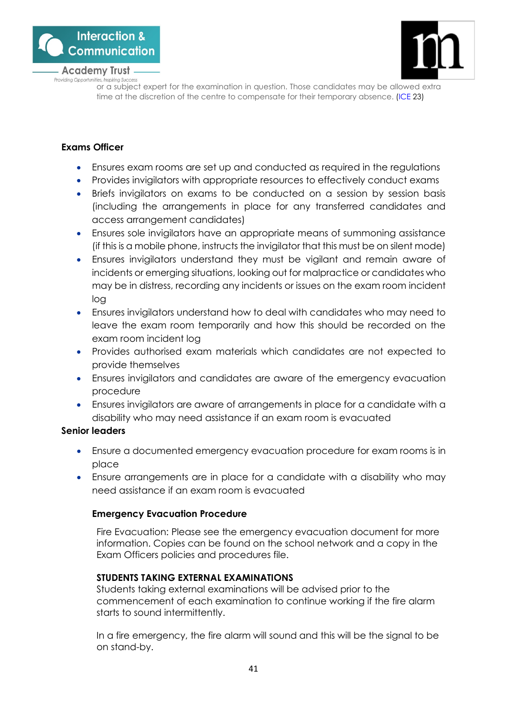



or a subject expert for the examination in question. Those candidates may be allowed extra time at the discretion of the centre to compensate for their temporary absence. [\(ICE](http://www.jcq.org.uk/exams-office/ice---instructions-for-conducting-examinations) 23)

### **Exams Officer**

- Ensures exam rooms are set up and conducted as required in the regulations
- Provides invigilators with appropriate resources to effectively conduct exams
- Briefs invigilators on exams to be conducted on a session by session basis (including the arrangements in place for any transferred candidates and access arrangement candidates)
- Ensures sole invigilators have an appropriate means of summoning assistance (if this is a mobile phone, instructs the invigilator that this must be on silent mode)
- Ensures invigilators understand they must be vigilant and remain aware of incidents or emerging situations, looking out for malpractice or candidates who may be in distress, recording any incidents or issues on the exam room incident log
- Ensures invigilators understand how to deal with candidates who may need to leave the exam room temporarily and how this should be recorded on the exam room incident log
- Provides authorised exam materials which candidates are not expected to provide themselves
- Ensures invigilators and candidates are aware of the emergency evacuation procedure
- Ensures invigilators are aware of arrangements in place for a candidate with a disability who may need assistance if an exam room is evacuated

### **Senior leaders**

- Ensure a documented emergency evacuation procedure for exam rooms is in place
- Ensure arrangements are in place for a candidate with a disability who may need assistance if an exam room is evacuated

### **Emergency Evacuation Procedure**

Fire Evacuation: Please see the emergency evacuation document for more information. Copies can be found on the school network and a copy in the Exam Officers policies and procedures file.

### **STUDENTS TAKING EXTERNAL EXAMINATIONS**

Students taking external examinations will be advised prior to the commencement of each examination to continue working if the fire alarm starts to sound intermittently.

In a fire emergency, the fire alarm will sound and this will be the signal to be on stand-by.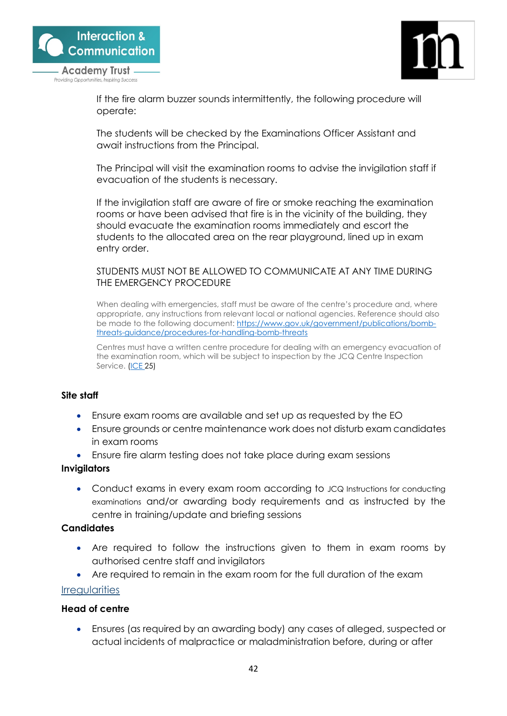

Providing Opportunities, Inspiring Success



If the fire alarm buzzer sounds intermittently, the following procedure will operate:

The students will be checked by the Examinations Officer Assistant and await instructions from the Principal.

The Principal will visit the examination rooms to advise the invigilation staff if evacuation of the students is necessary.

If the invigilation staff are aware of fire or smoke reaching the examination rooms or have been advised that fire is in the vicinity of the building, they should evacuate the examination rooms immediately and escort the students to the allocated area on the rear playground, lined up in exam entry order.

STUDENTS MUST NOT BE ALLOWED TO COMMUNICATE AT ANY TIME DURING THE EMERGENCY PROCEDURE

When dealing with emergencies, staff must be aware of the centre's procedure and, where appropriate, any instructions from relevant local or national agencies. Reference should also be made to the following document: [https://www.gov.uk/government/publications/bomb](https://www.gov.uk/government/publications/bomb-threats-guidance/procedures-for-handling-bomb-threats)[threats-guidance/procedures-for-handling-bomb-threats](https://www.gov.uk/government/publications/bomb-threats-guidance/procedures-for-handling-bomb-threats)

Centres must have a written centre procedure for dealing with an emergency evacuation of the examination room, which will be subject to inspection by the JCQ Centre Inspection Service. [\(ICE](http://www.jcq.org.uk/exams-office/ice---instructions-for-conducting-examinations) 25)

### **Site staff**

- Ensure exam rooms are available and set up as requested by the EO
- Ensure grounds or centre maintenance work does not disturb exam candidates in exam rooms
- Ensure fire alarm testing does not take place during exam sessions

### **Invigilators**

• Conduct exams in every exam room according to JCQ Instructions for conducting examinations and/or awarding body requirements and as instructed by the centre in training/update and briefing sessions

### **Candidates**

- Are required to follow the instructions given to them in exam rooms by authorised centre staff and invigilators
- Are required to remain in the exam room for the full duration of the exam

### **Irregularities**

### **Head of centre**

• Ensures (as required by an awarding body) any cases of alleged, suspected or actual incidents of malpractice or maladministration before, during or after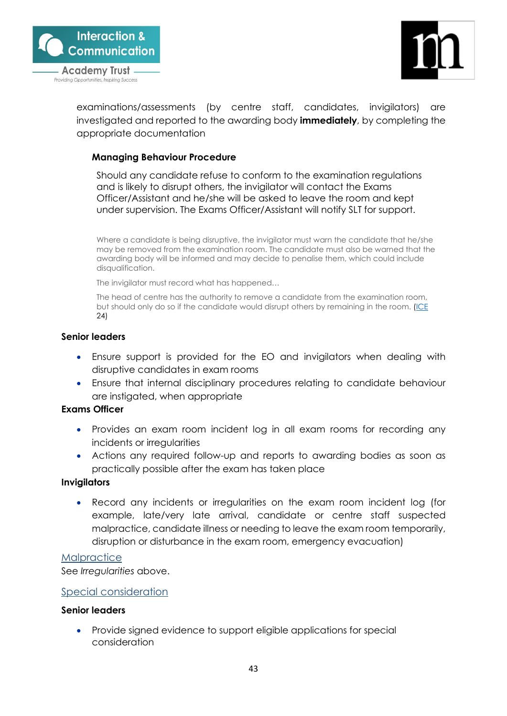



examinations/assessments (by centre staff, candidates, invigilators) are investigated and reported to the awarding body **immediately**, by completing the appropriate documentation

### **Managing Behaviour Procedure**

Should any candidate refuse to conform to the examination regulations and is likely to disrupt others, the invigilator will contact the Exams Officer/Assistant and he/she will be asked to leave the room and kept under supervision. The Exams Officer/Assistant will notify SLT for support.

Where a candidate is being disruptive, the invigilator must warn the candidate that he/she may be removed from the examination room. The candidate must also be warned that the awarding body will be informed and may decide to penalise them, which could include disqualification.

The invigilator must record what has happened…

The head of centre has the authority to remove a candidate from the examination room, but should only do so if the candidate would disrupt others by remaining in the room. [\(ICE](http://www.jcq.org.uk/exams-office/ice---instructions-for-conducting-examinations) 24)

### **Senior leaders**

- Ensure support is provided for the EO and invigilators when dealing with disruptive candidates in exam rooms
- Ensure that internal disciplinary procedures relating to candidate behaviour are instigated, when appropriate

### **Exams Officer**

- Provides an exam room incident log in all exam rooms for recording any incidents or irregularities
- Actions any required follow-up and reports to awarding bodies as soon as practically possible after the exam has taken place

### **Invigilators**

• Record any incidents or irregularities on the exam room incident log (for example, late/very late arrival, candidate or centre staff suspected malpractice, candidate illness or needing to leave the exam room temporarily, disruption or disturbance in the exam room, emergency evacuation)

### **Malpractice**

See *Irregularities* above.

### Special consideration

### **Senior leaders**

• Provide signed evidence to support eligible applications for special consideration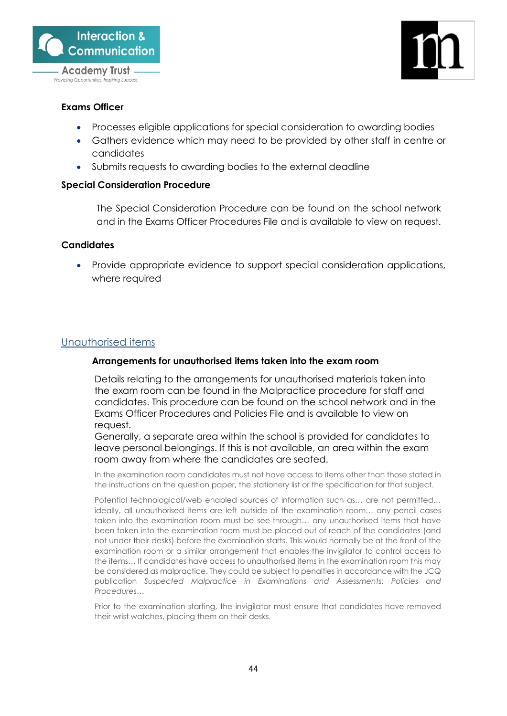

Providing Opportunities, Inspiring Success



### **Exams Officer**

- Processes eligible applications for special consideration to awarding bodies
- Gathers evidence which may need to be provided by other staff in centre or candidates
- Submits requests to awarding bodies to the external deadline

### **Special Consideration Procedure**

The Special Consideration Procedure can be found on the school network and in the Exams Officer Procedures File and is available to view on request.

### **Candidates**

• Provide appropriate evidence to support special consideration applications, where required

### Unauthorised items

### **Arrangements for unauthorised items taken into the exam room**

Details relating to the arrangements for unauthorised materials taken into the exam room can be found in the Malpractice procedure for staff and candidates. This procedure can be found on the school network and in the Exams Officer Procedures and Policies File and is available to view on request.

Generally, a separate area within the school is provided for candidates to leave personal belongings. If this is not available, an area within the exam room away from where the candidates are seated.

In the examination room candidates must not have access to items other than those stated in the instructions on the question paper, the stationery list or the specification for that subject.

Potential technological/web enabled sources of information such as… are not permitted… ideally, all unauthorised items are left outside of the examination room… any pencil cases taken into the examination room must be see-through… any unauthorised items that have been taken into the examination room must be placed out of reach of the candidates (and not under their desks) before the examination starts. This would normally be at the front of the examination room or a similar arrangement that enables the invigilator to control access to the items… If candidates have access to unauthorised items in the examination room this may be considered as malpractice. They could be subject to penalties in accordance with the JCQ publication *Suspected Malpractice in Examinations and Assessments: Policies and Procedures…* 

Prior to the examination starting, the invigilator must ensure that candidates have removed their wrist watches, placing them on their desks.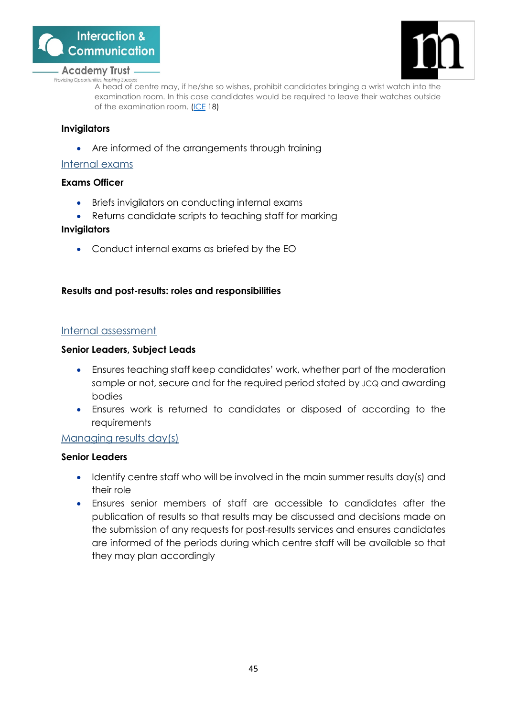



A head of centre may, if he/she so wishes, prohibit candidates bringing a wrist watch into the examination room. In this case candidates would be required to leave their watches outside of the examination room. [\(ICE](http://www.jcq.org.uk/exams-office/ice---instructions-for-conducting-examinations) 18)

### **Invigilators**

• Are informed of the arrangements through training

### Internal exams

### **Exams Officer**

- Briefs invigilators on conducting internal exams
- Returns candidate scripts to teaching staff for marking

### **Invigilators**

• Conduct internal exams as briefed by the EO

### **Results and post-results: roles and responsibilities**

### Internal assessment

### **Senior Leaders, Subject Leads**

- Ensures teaching staff keep candidates' work, whether part of the moderation sample or not, secure and for the required period stated by JCQ and awarding bodies
- Ensures work is returned to candidates or disposed of according to the requirements

### Managing results day(s)

### **Senior Leaders**

- Identify centre staff who will be involved in the main summer results day(s) and their role
- Ensures senior members of staff are accessible to candidates after the publication of results so that results may be discussed and decisions made on the submission of any requests for post-results services and ensures candidates are informed of the periods during which centre staff will be available so that they may plan accordingly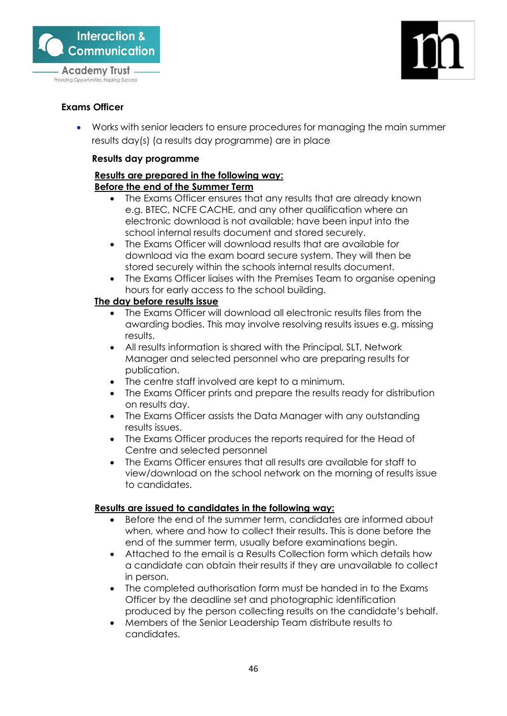



# **Exams Officer**

• Works with senior leaders to ensure procedures for managing the main summer results day(s) (a results day programme) are in place

# **Results day programme**

### **Results are prepared in the following way: Before the end of the Summer Term**

- The Exams Officer ensures that any results that are already known e.g. BTEC, NCFE CACHE, and any other qualification where an electronic download is not available; have been input into the school internal results document and stored securely.
- The Exams Officer will download results that are available for download via the exam board secure system. They will then be stored securely within the schools internal results document.
- The Exams Officer liaises with the Premises Team to organise opening hours for early access to the school building.

# **The day before results issue**

- The Exams Officer will download all electronic results files from the awarding bodies. This may involve resolving results issues e.g. missing results.
- All results information is shared with the Principal, SLT, Network Manager and selected personnel who are preparing results for publication.
- The centre staff involved are kept to a minimum.
- The Exams Officer prints and prepare the results ready for distribution on results day.
- The Exams Officer assists the Data Manager with any outstanding results issues.
- The Exams Officer produces the reports required for the Head of Centre and selected personnel
- The Exams Officer ensures that all results are available for staff to view/download on the school network on the morning of results issue to candidates.

### **Results are issued to candidates in the following way:**

- Before the end of the summer term, candidates are informed about when, where and how to collect their results. This is done before the end of the summer term, usually before examinations begin.
- Attached to the email is a Results Collection form which details how a candidate can obtain their results if they are unavailable to collect in person.
- The completed authorisation form must be handed in to the Exams Officer by the deadline set and photographic identification produced by the person collecting results on the candidate's behalf.
- Members of the Senior Leadership Team distribute results to candidates.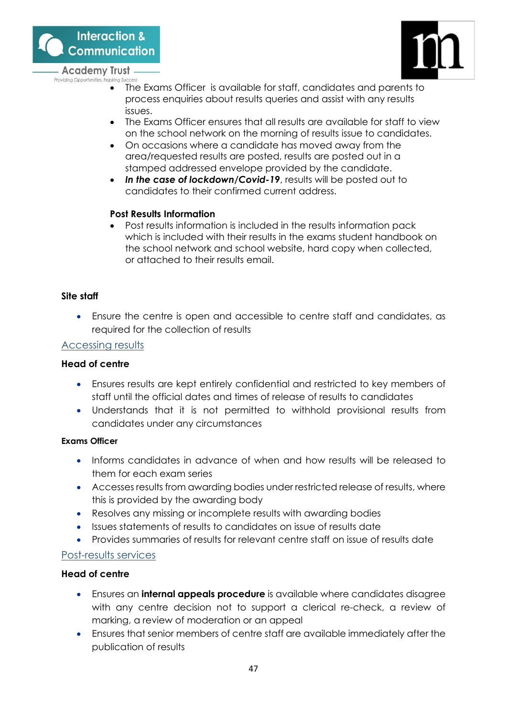





- The Exams Officer is available for staff, candidates and parents to process enquiries about results queries and assist with any results issues.
- The Exams Officer ensures that all results are available for staff to view on the school network on the morning of results issue to candidates.
- On occasions where a candidate has moved away from the area/requested results are posted, results are posted out in a stamped addressed envelope provided by the candidate.
- In the case of lockdown/Covid-19, results will be posted out to candidates to their confirmed current address.

### **Post Results Information**

• Post results information is included in the results information pack which is included with their results in the exams student handbook on the school network and school website, hard copy when collected, or attached to their results email.

### **Site staff**

• Ensure the centre is open and accessible to centre staff and candidates, as required for the collection of results

# Accessing results

### **Head of centre**

- Ensures results are kept entirely confidential and restricted to key members of staff until the official dates and times of release of results to candidates
- Understands that it is not permitted to withhold provisional results from candidates under any circumstances

### **Exams Officer**

- Informs candidates in advance of when and how results will be released to them for each exam series
- Accesses results from awarding bodies under restricted release of results, where this is provided by the awarding body
- Resolves any missing or incomplete results with awarding bodies
- Issues statements of results to candidates on issue of results date
- Provides summaries of results for relevant centre staff on issue of results date

# Post-results services

# **Head of centre**

- Ensures an **internal appeals procedure** is available where candidates disagree with any centre decision not to support a clerical re-check, a review of marking, a review of moderation or an appeal
- Ensures that senior members of centre staff are available immediately after the publication of results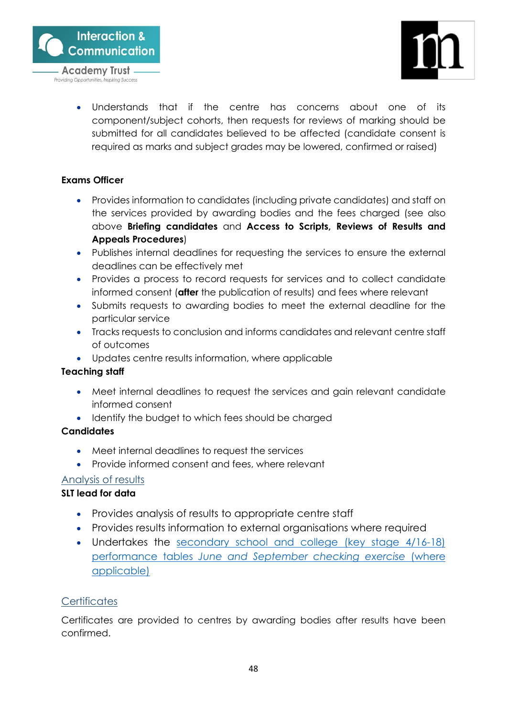



Understands that if the centre has concerns about one of its component/subject cohorts, then requests for reviews of marking should be submitted for all candidates believed to be affected (candidate consent is required as marks and subject grades may be lowered, confirmed or raised)

# **Exams Officer**

- Provides information to candidates (including private candidates) and staff on the services provided by awarding bodies and the fees charged (see also above **Briefing candidates** and **Access to Scripts, Reviews of Results and Appeals Procedures**)
- Publishes internal deadlines for requesting the services to ensure the external deadlines can be effectively met
- Provides a process to record requests for services and to collect candidate informed consent (**after** the publication of results) and fees where relevant
- Submits requests to awarding bodies to meet the external deadline for the particular service
- Tracks requests to conclusion and informs candidates and relevant centre staff of outcomes
- Updates centre results information, where applicable

### **Teaching staff**

- Meet internal deadlines to request the services and gain relevant candidate informed consent
- Identify the budget to which fees should be charged

### **Candidates**

- Meet internal deadlines to request the services
- Provide informed consent and fees, where relevant

# Analysis of results

### **SLT lead for data**

- Provides analysis of results to appropriate centre staff
- Provides results information to external organisations where required
- Undertakes the secondary school and college (key stage 4/16-18) performance tables *June and September checking exercise* (where applicable)

# **Certificates**

Certificates are provided to centres by awarding bodies after results have been confirmed.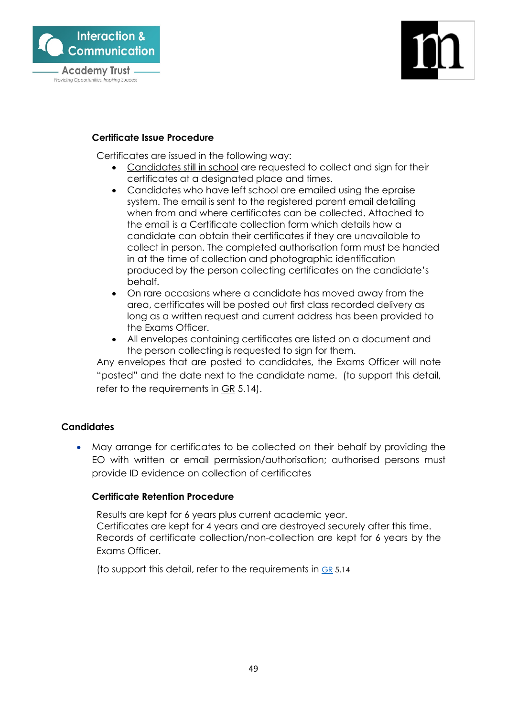



# **Certificate Issue Procedure**

Certificates are issued in the following way:

- Candidates still in school are requested to collect and sign for their certificates at a designated place and times.
- Candidates who have left school are emailed using the epraise system. The email is sent to the registered parent email detailing when from and where certificates can be collected. Attached to the email is a Certificate collection form which details how a candidate can obtain their certificates if they are unavailable to collect in person. The completed authorisation form must be handed in at the time of collection and photographic identification produced by the person collecting certificates on the candidate's behalf.
- On rare occasions where a candidate has moved away from the area, certificates will be posted out first class recorded delivery as long as a written request and current address has been provided to the Exams Officer.
- All envelopes containing certificates are listed on a document and the person collecting is requested to sign for them.

Any envelopes that are posted to candidates, the Exams Officer will note "posted" and the date next to the candidate name. (to support this detail, refer to the requirements in [GR](http://www.jcq.org.uk/exams-office/general-regulations) 5.14).

### **Candidates**

• May arrange for certificates to be collected on their behalf by providing the EO with written or email permission/authorisation; authorised persons must provide ID evidence on collection of certificates

### **Certificate Retention Procedure**

Results are kept for 6 years plus current academic year. Certificates are kept for 4 years and are destroyed securely after this time. Records of certificate collection/non-collection are kept for 6 years by the Exams Officer.

(to support this detail, refer to the requirements in [GR](http://www.jcq.org.uk/exams-office/general-regulations) 5.14)